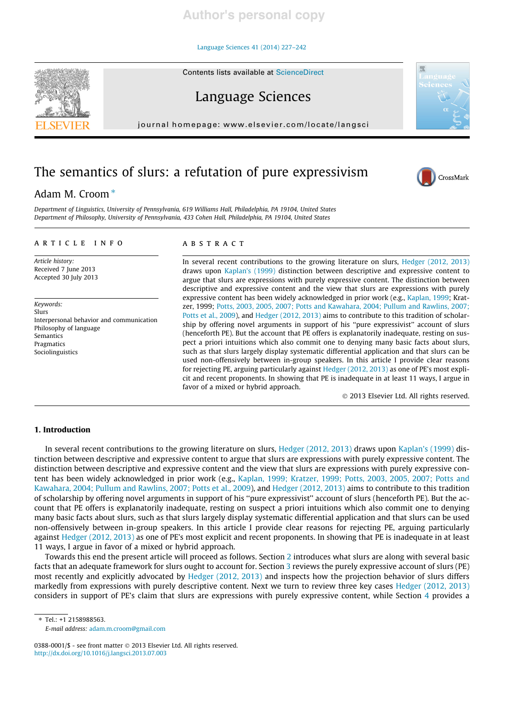Language Sciences 41 (2014) 227–242

Contents lists available at ScienceDirect

Language Sciences

journal homepage: www.elsevier.com/locate/langsci

# The semantics of slurs: a refutation of pure expressivism

# Adam M. Croom<sup>\*</sup>

Department of Linguistics, University of Pennsylvania, 619 Williams Hall, Philadelphia, PA 19104, United States Department of Philosophy, University of Pennsylvania, 433 Cohen Hall, Philadelphia, PA 19104, United States

#### article info

Article history: Received 7 June 2013 Accepted 30 July 2013

Keywords: Slurs Interpersonal behavior and communication Philosophy of language Semantics Pragmatics Sociolinguistics

#### **ABSTRACT**

In several recent contributions to the growing literature on slurs, Hedger (2012, 2013) draws upon Kaplan's (1999) distinction between descriptive and expressive content to argue that slurs are expressions with purely expressive content. The distinction between descriptive and expressive content and the view that slurs are expressions with purely expressive content has been widely acknowledged in prior work (e.g., Kaplan, 1999; Kratzer, 1999; Potts, 2003, 2005, 2007; Potts and Kawahara, 2004; Pullum and Rawlins, 2007; Potts et al., 2009), and Hedger (2012, 2013) aims to contribute to this tradition of scholarship by offering novel arguments in support of his ''pure expressivist'' account of slurs (henceforth PE). But the account that PE offers is explanatorily inadequate, resting on suspect a priori intuitions which also commit one to denying many basic facts about slurs, such as that slurs largely display systematic differential application and that slurs can be used non-offensively between in-group speakers. In this article I provide clear reasons for rejecting PE, arguing particularly against Hedger (2012, 2013) as one of PE's most explicit and recent proponents. In showing that PE is inadequate in at least 11 ways, I argue in favor of a mixed or hybrid approach.

 $\odot$  2013 Elsevier Ltd. All rights reserved.

#### 1. Introduction

In several recent contributions to the growing literature on slurs, Hedger (2012, 2013) draws upon Kaplan's (1999) distinction between descriptive and expressive content to argue that slurs are expressions with purely expressive content. The distinction between descriptive and expressive content and the view that slurs are expressions with purely expressive content has been widely acknowledged in prior work (e.g., Kaplan, 1999; Kratzer, 1999; Potts, 2003, 2005, 2007; Potts and Kawahara, 2004; Pullum and Rawlins, 2007; Potts et al., 2009), and Hedger (2012, 2013) aims to contribute to this tradition of scholarship by offering novel arguments in support of his ''pure expressivist'' account of slurs (henceforth PE). But the account that PE offers is explanatorily inadequate, resting on suspect a priori intuitions which also commit one to denying many basic facts about slurs, such as that slurs largely display systematic differential application and that slurs can be used non-offensively between in-group speakers. In this article I provide clear reasons for rejecting PE, arguing particularly against Hedger (2012, 2013) as one of PE's most explicit and recent proponents. In showing that PE is inadequate in at least 11 ways, I argue in favor of a mixed or hybrid approach.

Towards this end the present article will proceed as follows. Section 2 introduces what slurs are along with several basic facts that an adequate framework for slurs ought to account for. Section 3 reviews the purely expressive account of slurs (PE) most recently and explicitly advocated by Hedger (2012, 2013) and inspects how the projection behavior of slurs differs markedly from expressions with purely descriptive content. Next we turn to review three key cases Hedger (2012, 2013) considers in support of PE's claim that slurs are expressions with purely expressive content, while Section 4 provides a

⇑ Tel.: +1 2158988563.

E-mail address: adam.m.croom@gmail.com







<sup>0388-0001/\$ -</sup> see front matter @ 2013 Elsevier Ltd. All rights reserved. http://dx.doi.org/10.1016/j.langsci.2013.07.003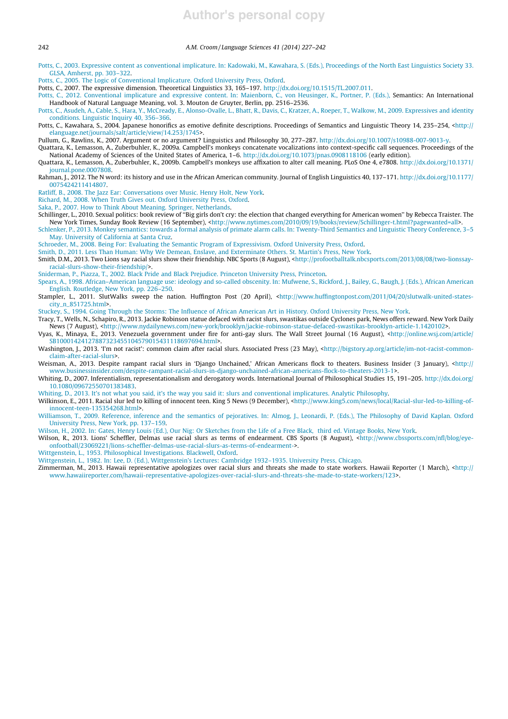#### 242 A.M. Croom / Language Sciences 41 (2014) 227–242

- Potts, C., 2003. Expressive content as conventional implicature. In: Kadowaki, M., Kawahara, S. (Eds.), Proceedings of the North East Linguistics Society 33. GLSA, Amherst, pp. 303–322.
- Potts, C., 2005. The Logic of Conventional Implicature. Oxford University Press, Oxford.
- Potts, C., 2007. The expressive dimension. Theoretical Linguistics 33, 165–197. http://dx.doi.org/10.1515/TL.2007.011.
- Potts, C., 2012. Conventional implicature and expressive content. In: Maienborn, C., von Heusinger, K., Portner, P. (Eds.), Semantics: An International Handbook of Natural Language Meaning, vol. 3. Mouton de Gruyter, Berlin, pp. 2516–2536.
- Potts, C., Asudeh, A., Cable, S., Hara, Y., McCready, E., Alonso-Ovalle, L., Bhatt, R., Davis, C., Kratzer, A., Roeper, T., Walkow, M., 2009. Expressives and identity conditions. Linguistic Inquiry 40, 356–366.
- Potts, C., Kawahara, S., 2004. Japanese honorifics as emotive definite descriptions. Proceedings of Semantics and Linguistic Theory 14, 235-254, <http:// elanguage.net/journals/salt/article/view/14.253/1745>.
- Pullum, G., Rawlins, K., 2007. Argument or no argument? Linguistics and Philosophy 30, 277–287. http://dx.doi.org/10.1007/s10988-007-9013-y.
- Quattara, K., Lemasson, A., Zuberbuhler, K., 2009a. Campbell's monkeys concatenate vocalizations into context-specific call sequences. Proceedings of the National Academy of Sciences of the United States of America, 1–6. http://dx.doi.org/10.1073/pnas.0908118106 (early edition).
- Quattara, K., Lemasson, A., Zuberbuhler, K., 2009b. Campbell's monkeys use affixation to alter call meaning. PLoS One 4, e7808. http://dx.doi.org/10.1371/ journal.pone.0007808.
- Rahman, J., 2012. The N word: its history and use in the African American community. Journal of English Linguistics 40, 137–171. http://dx.doi.org/10.1177/ 0075424211414807.
- Ratliff, B., 2008. The Jazz Ear: Conversations over Music. Henry Holt, New York.
- Richard, M., 2008. When Truth Gives out. Oxford University Press, Oxford.
- Saka, P., 2007. How to Think About Meaning. Springer, Netherlands.
- Schillinger, L., 2010. Sexual politics: book review of ''Big girls don't cry: the election that changed everything for American women'' by Rebecca Traister. The New York Times, Sunday Book Review (16 September), <http://www.nytimes.com/2010/09/19/books/review/Schillinger-t.html?pagewanted=all>.
- Schlenker, P., 2013. Monkey semantics: towards a formal analysis of primate alarm calls. In: Twenty-Third Semantics and Linguistic Theory Conference, 3-5 May. University of California at Santa Cruz.
- Schroeder, M., 2008. Being For: Evaluating the Semantic Program of Expressivism. Oxford University Press, Oxford.
- Smith, D., 2011. Less Than Human: Why We Demean, Enslave, and Exterminate Others. St. Martin's Press, New York.
- Smith, D.M., 2013. Two Lions say racial slurs show their friendship. NBC Sports (8 August), <http://profootballtalk.nbcsports.com/2013/08/08/two-lionssayracial-slurs-show-their-friendship/>.
- Sniderman, P., Piazza, T., 2002. Black Pride and Black Prejudice. Princeton University Press, Princeton.
- Spears, A., 1998. African–American language use: ideology and so-called obscenity. In: Mufwene, S., Rickford, J., Bailey, G., Baugh, J. (Eds.), African American English. Routledge, New York, pp. 226–250.
- Stampler, L., 2011. SlutWalks sweep the nation. Huffington Post (20 April), <http://www.huffingtonpost.com/2011/04/20/slutwalk-united-statescity\_n\_851725.html>.
- Stuckey, S., 1994. Going Through the Storms: The Influence of African American Art in History. Oxford University Press, New York.
- Tracy, T., Wells, N., Schapiro, R., 2013. Jackie Robinson statue defaced with racist slurs, swastikas outside Cyclones park, News offers reward. New York Daily News (7 August), <http://www.nydailynews.com/new-york/brooklyn/jackie-robinson-statue-defaced-swastikas-brooklyn-article-1.1420102>.
- Vyas, K., Minaya, E., 2013. Venezuela government under fire for anti-gay slurs. The Wall Street Journal (16 August), <http://online.wsj.com/article/ SB10001424127887323455104579015431118697694.html>.
- Washington, J., 2013. 'I'm not racist': common claim after racial slurs. Associated Press (23 May), <http://bigstory.ap.org/article/im-not-racist-commonclaim-after-racial-slurs>.
- Weisman, A., 2013. Despite rampant racial slurs in 'Django Unchained,' African Americans flock to theaters. Business Insider (3 January), <http:// www.businessinsider.com/despite-rampant-racial-slurs-in-django-unchained-african-americans-flock-to-theaters-2013-1>.
- Whiting, D., 2007. Inferentialism, representationalism and derogatory words. International Journal of Philosophical Studies 15, 191-205. http://dx.doi.org/ 10.1080/09672550701383483.
- Whiting, D., 2013. It's not what you said, it's the way you said it: slurs and conventional implicatures. Analytic Philosophy.
- Wilkinson, E., 2011. Racial slur led to killing of innocent teen. King 5 News (9 December), <http://www.king5.com/news/local/Racial-slur-led-to-killing-ofinnocent-teen-135354268.html>.
- Williamson, T., 2009. Reference, inference and the semantics of pejoratives. In: Almog, J., Leonardi, P. (Eds.), The Philosophy of David Kaplan. Oxford University Press, New York, pp. 137–159.
- Wilson, H., 2002. In: Gates, Henry Louis (Ed.), Our Nig: Or Sketches from the Life of a Free Black, third ed. Vintage Books, New York.
- Wilson, R., 2013. Lions' Scheffler, Delmas use racial slurs as terms of endearment. CBS Sports (8 August), <http://www.cbssports.com/nfl/blog/eyeonfootball/23069221/lions-scheffler-delmas-use-racial-slurs-as-terms-of-endearment->.
- Wittgenstein, L., 1953. Philosophical Investigations. Blackwell, Oxford.
- Wittgenstein, L., 1982. In: Lee, D. (Ed.), Wittgenstein's Lectures: Cambridge 1932–1935. University Press, Chicago.
- Zimmerman, M., 2013. Hawaii representative apologizes over racial slurs and threats she made to state workers. Hawaii Reporter (1 March), <http:// www.hawaiireporter.com/hawaii-representative-apologizes-over-racial-slurs-and-threats-she-made-to-state-workers/123>.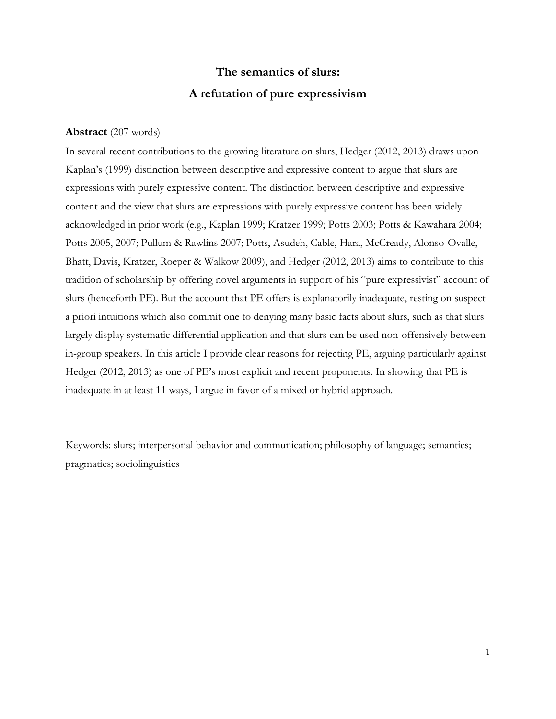# **The semantics of slurs: A refutation of pure expressivism**

# **Abstract** (207 words)

In several recent contributions to the growing literature on slurs, Hedger (2012, 2013) draws upon Kaplan's (1999) distinction between descriptive and expressive content to argue that slurs are expressions with purely expressive content. The distinction between descriptive and expressive content and the view that slurs are expressions with purely expressive content has been widely acknowledged in prior work (e.g., Kaplan 1999; Kratzer 1999; Potts 2003; Potts & Kawahara 2004; Potts 2005, 2007; Pullum & Rawlins 2007; Potts, Asudeh, Cable, Hara, McCready, Alonso-Ovalle, Bhatt, Davis, Kratzer, Roeper & Walkow 2009), and Hedger (2012, 2013) aims to contribute to this tradition of scholarship by offering novel arguments in support of his "pure expressivist" account of slurs (henceforth PE). But the account that PE offers is explanatorily inadequate, resting on suspect a priori intuitions which also commit one to denying many basic facts about slurs, such as that slurs largely display systematic differential application and that slurs can be used non-offensively between in-group speakers. In this article I provide clear reasons for rejecting PE, arguing particularly against Hedger (2012, 2013) as one of PE's most explicit and recent proponents. In showing that PE is inadequate in at least 11 ways, I argue in favor of a mixed or hybrid approach.

Keywords: slurs; interpersonal behavior and communication; philosophy of language; semantics; pragmatics; sociolinguistics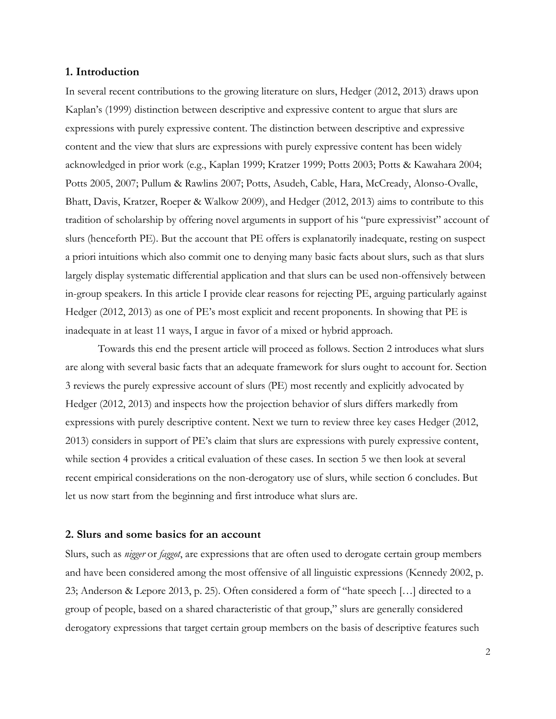#### **1. Introduction**

In several recent contributions to the growing literature on slurs, Hedger (2012, 2013) draws upon Kaplan's (1999) distinction between descriptive and expressive content to argue that slurs are expressions with purely expressive content. The distinction between descriptive and expressive content and the view that slurs are expressions with purely expressive content has been widely acknowledged in prior work (e.g., Kaplan 1999; Kratzer 1999; Potts 2003; Potts & Kawahara 2004; Potts 2005, 2007; Pullum & Rawlins 2007; Potts, Asudeh, Cable, Hara, McCready, Alonso-Ovalle, Bhatt, Davis, Kratzer, Roeper & Walkow 2009), and Hedger (2012, 2013) aims to contribute to this tradition of scholarship by offering novel arguments in support of his "pure expressivist" account of slurs (henceforth PE). But the account that PE offers is explanatorily inadequate, resting on suspect a priori intuitions which also commit one to denying many basic facts about slurs, such as that slurs largely display systematic differential application and that slurs can be used non-offensively between in-group speakers. In this article I provide clear reasons for rejecting PE, arguing particularly against Hedger (2012, 2013) as one of PE's most explicit and recent proponents. In showing that PE is inadequate in at least 11 ways, I argue in favor of a mixed or hybrid approach.

Towards this end the present article will proceed as follows. Section 2 introduces what slurs are along with several basic facts that an adequate framework for slurs ought to account for. Section 3 reviews the purely expressive account of slurs (PE) most recently and explicitly advocated by Hedger (2012, 2013) and inspects how the projection behavior of slurs differs markedly from expressions with purely descriptive content. Next we turn to review three key cases Hedger (2012, 2013) considers in support of PE's claim that slurs are expressions with purely expressive content, while section 4 provides a critical evaluation of these cases. In section 5 we then look at several recent empirical considerations on the non-derogatory use of slurs, while section 6 concludes. But let us now start from the beginning and first introduce what slurs are.

### **2. Slurs and some basics for an account**

Slurs, such as *nigger* or *faggot*, are expressions that are often used to derogate certain group members and have been considered among the most offensive of all linguistic expressions (Kennedy 2002, p. 23; Anderson & Lepore 2013, p. 25). Often considered a form of "hate speech […] directed to a group of people, based on a shared characteristic of that group," slurs are generally considered derogatory expressions that target certain group members on the basis of descriptive features such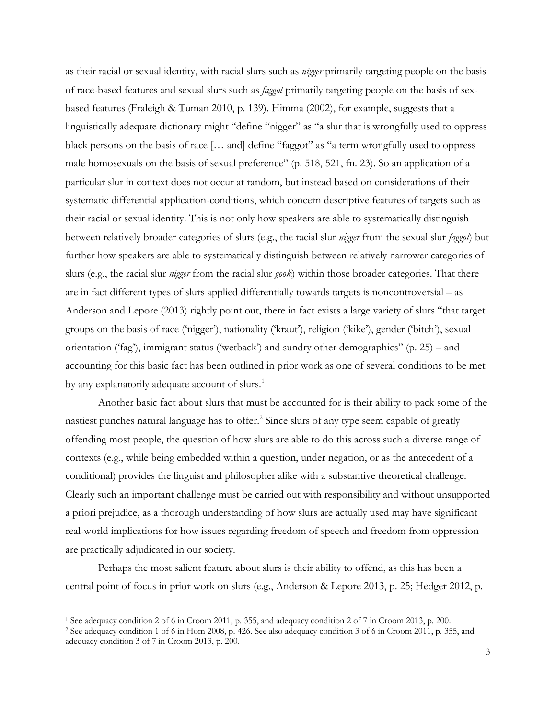as their racial or sexual identity, with racial slurs such as *nigger* primarily targeting people on the basis of race-based features and sexual slurs such as *faggot* primarily targeting people on the basis of sexbased features (Fraleigh & Tuman 2010, p. 139). Himma (2002), for example, suggests that a linguistically adequate dictionary might "define "nigger" as "a slur that is wrongfully used to oppress black persons on the basis of race [… and] define "faggot" as "a term wrongfully used to oppress male homosexuals on the basis of sexual preference" (p. 518, 521, fn. 23). So an application of a particular slur in context does not occur at random, but instead based on considerations of their systematic differential application-conditions, which concern descriptive features of targets such as their racial or sexual identity. This is not only how speakers are able to systematically distinguish between relatively broader categories of slurs (e.g., the racial slur *nigger* from the sexual slur *faggot*) but further how speakers are able to systematically distinguish between relatively narrower categories of slurs (e.g., the racial slur *nigger* from the racial slur *gook*) within those broader categories. That there are in fact different types of slurs applied differentially towards targets is noncontroversial – as Anderson and Lepore (2013) rightly point out, there in fact exists a large variety of slurs "that target groups on the basis of race ('nigger'), nationality ('kraut'), religion ('kike'), gender ('bitch'), sexual orientation ('fag'), immigrant status ('wetback') and sundry other demographics" (p. 25) – and accounting for this basic fact has been outlined in prior work as one of several conditions to be met by any explanatorily adequate account of slurs.<sup>1</sup>

Another basic fact about slurs that must be accounted for is their ability to pack some of the nastiest punches natural language has to offer.<sup>2</sup> Since slurs of any type seem capable of greatly offending most people, the question of how slurs are able to do this across such a diverse range of contexts (e.g., while being embedded within a question, under negation, or as the antecedent of a conditional) provides the linguist and philosopher alike with a substantive theoretical challenge. Clearly such an important challenge must be carried out with responsibility and without unsupported a priori prejudice, as a thorough understanding of how slurs are actually used may have significant real-world implications for how issues regarding freedom of speech and freedom from oppression are practically adjudicated in our society.

Perhaps the most salient feature about slurs is their ability to offend, as this has been a central point of focus in prior work on slurs (e.g., Anderson & Lepore 2013, p. 25; Hedger 2012, p.

<sup>1</sup> See adequacy condition 2 of 6 in Croom 2011, p. 355, and adequacy condition 2 of 7 in Croom 2013, p. 200.

<sup>2</sup> See adequacy condition 1 of 6 in Hom 2008, p. 426. See also adequacy condition 3 of 6 in Croom 2011, p. 355, and adequacy condition 3 of 7 in Croom 2013, p. 200.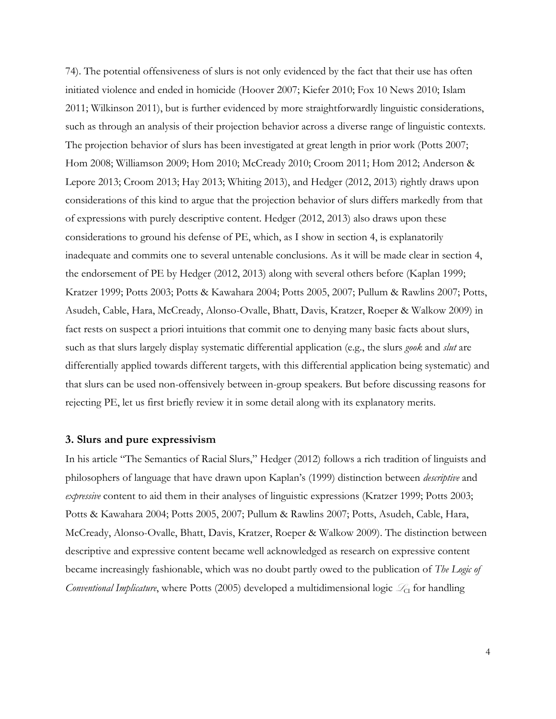74). The potential offensiveness of slurs is not only evidenced by the fact that their use has often initiated violence and ended in homicide (Hoover 2007; Kiefer 2010; Fox 10 News 2010; Islam 2011; Wilkinson 2011), but is further evidenced by more straightforwardly linguistic considerations, such as through an analysis of their projection behavior across a diverse range of linguistic contexts. The projection behavior of slurs has been investigated at great length in prior work (Potts 2007; Hom 2008; Williamson 2009; Hom 2010; McCready 2010; Croom 2011; Hom 2012; Anderson & Lepore 2013; Croom 2013; Hay 2013; Whiting 2013), and Hedger (2012, 2013) rightly draws upon considerations of this kind to argue that the projection behavior of slurs differs markedly from that of expressions with purely descriptive content. Hedger (2012, 2013) also draws upon these considerations to ground his defense of PE, which, as I show in section 4, is explanatorily inadequate and commits one to several untenable conclusions. As it will be made clear in section 4, the endorsement of PE by Hedger (2012, 2013) along with several others before (Kaplan 1999; Kratzer 1999; Potts 2003; Potts & Kawahara 2004; Potts 2005, 2007; Pullum & Rawlins 2007; Potts, Asudeh, Cable, Hara, McCready, Alonso-Ovalle, Bhatt, Davis, Kratzer, Roeper & Walkow 2009) in fact rests on suspect a priori intuitions that commit one to denying many basic facts about slurs, such as that slurs largely display systematic differential application (e.g., the slurs *gook* and *slut* are differentially applied towards different targets, with this differential application being systematic) and that slurs can be used non-offensively between in-group speakers. But before discussing reasons for rejecting PE, let us first briefly review it in some detail along with its explanatory merits.

# **3. Slurs and pure expressivism**

In his article "The Semantics of Racial Slurs," Hedger (2012) follows a rich tradition of linguists and philosophers of language that have drawn upon Kaplan's (1999) distinction between *descriptive* and *expressive* content to aid them in their analyses of linguistic expressions (Kratzer 1999; Potts 2003; Potts & Kawahara 2004; Potts 2005, 2007; Pullum & Rawlins 2007; Potts, Asudeh, Cable, Hara, McCready, Alonso-Ovalle, Bhatt, Davis, Kratzer, Roeper & Walkow 2009). The distinction between descriptive and expressive content became well acknowledged as research on expressive content became increasingly fashionable, which was no doubt partly owed to the publication of *The Logic of Conventional Implicature*, where Potts (2005) developed a multidimensional logic  $\mathcal{L}_{CI}$  for handling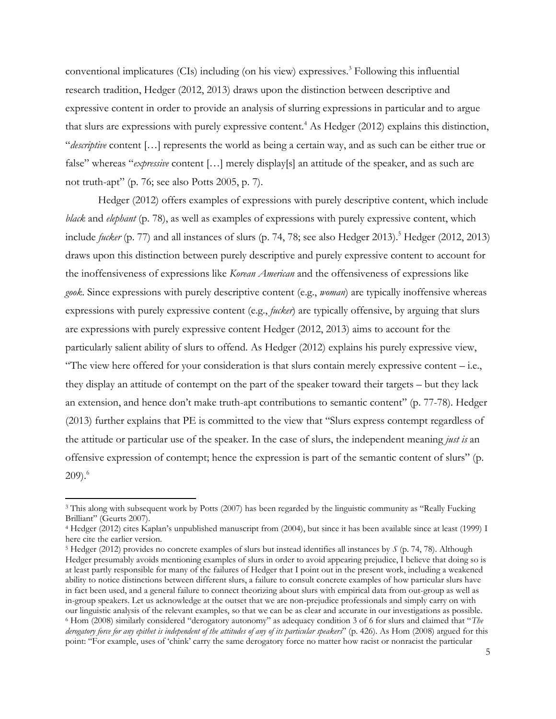conventional implicatures  $(CIs)$  including (on his view) expressives.<sup>3</sup> Following this influential research tradition, Hedger (2012, 2013) draws upon the distinction between descriptive and expressive content in order to provide an analysis of slurring expressions in particular and to argue that slurs are expressions with purely expressive content.<sup>4</sup> As Hedger (2012) explains this distinction, "*descriptive* content […] represents the world as being a certain way, and as such can be either true or false" whereas "*expressive* content […] merely display[s] an attitude of the speaker, and as such are not truth-apt" (p. 76; see also Potts 2005, p. 7).

Hedger (2012) offers examples of expressions with purely descriptive content, which include *black* and *elephant* (p. 78), as well as examples of expressions with purely expressive content, which include *fucker* (p. 77) and all instances of slurs (p. 74, 78; see also Hedger 2013).<sup>5</sup> Hedger (2012, 2013) draws upon this distinction between purely descriptive and purely expressive content to account for the inoffensiveness of expressions like *Korean American* and the offensiveness of expressions like *gook*. Since expressions with purely descriptive content (e.g., *woman*) are typically inoffensive whereas expressions with purely expressive content (e.g., *fucker*) are typically offensive, by arguing that slurs are expressions with purely expressive content Hedger (2012, 2013) aims to account for the particularly salient ability of slurs to offend. As Hedger (2012) explains his purely expressive view, "The view here offered for your consideration is that slurs contain merely expressive content  $-$  i.e., they display an attitude of contempt on the part of the speaker toward their targets – but they lack an extension, and hence don't make truth-apt contributions to semantic content" (p. 77-78). Hedger (2013) further explains that PE is committed to the view that "Slurs express contempt regardless of the attitude or particular use of the speaker. In the case of slurs, the independent meaning *just is* an offensive expression of contempt; hence the expression is part of the semantic content of slurs" (p. 209). 6

<sup>3</sup> This along with subsequent work by Potts (2007) has been regarded by the linguistic community as "Really Fucking Brilliant" (Geurts 2007).

<sup>4</sup> Hedger (2012) cites Kaplan's unpublished manuscript from (2004), but since it has been available since at least (1999) I here cite the earlier version.

<sup>5</sup> Hedger (2012) provides no concrete examples of slurs but instead identifies all instances by *S* (p. 74, 78). Although Hedger presumably avoids mentioning examples of slurs in order to avoid appearing prejudice, I believe that doing so is at least partly responsible for many of the failures of Hedger that I point out in the present work, including a weakened ability to notice distinctions between different slurs, a failure to consult concrete examples of how particular slurs have in fact been used, and a general failure to connect theorizing about slurs with empirical data from out-group as well as in-group speakers. Let us acknowledge at the outset that we are non-prejudice professionals and simply carry on with our linguistic analysis of the relevant examples, so that we can be as clear and accurate in our investigations as possible.<br><sup>6</sup> Hom (2008) similarly considered "derogatory autonomy" as adequacy condition 3 of 6 for slurs *derogatory force for any epithet is independent of the attitudes of any of its particular speakers*" (p. 426). As Hom (2008) argued for this point: "For example, uses of 'chink' carry the same derogatory force no matter how racist or nonracist the particular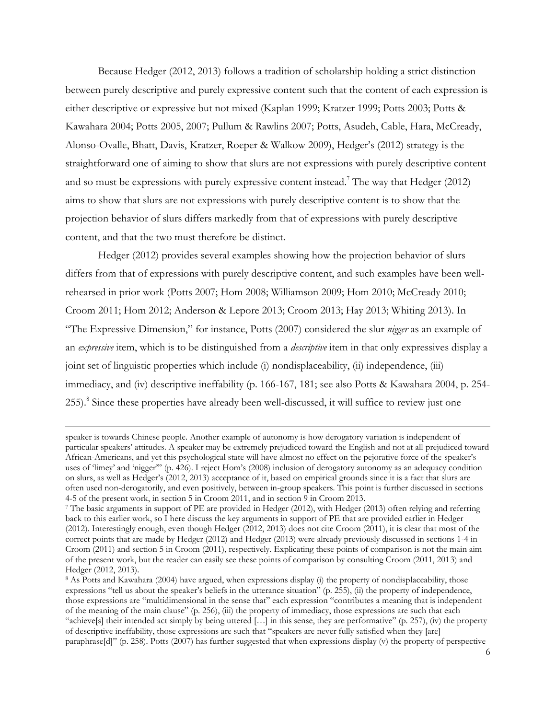Because Hedger (2012, 2013) follows a tradition of scholarship holding a strict distinction between purely descriptive and purely expressive content such that the content of each expression is either descriptive or expressive but not mixed (Kaplan 1999; Kratzer 1999; Potts 2003; Potts & Kawahara 2004; Potts 2005, 2007; Pullum & Rawlins 2007; Potts, Asudeh, Cable, Hara, McCready, Alonso-Ovalle, Bhatt, Davis, Kratzer, Roeper & Walkow 2009), Hedger's (2012) strategy is the straightforward one of aiming to show that slurs are not expressions with purely descriptive content and so must be expressions with purely expressive content instead.<sup>7</sup> The way that Hedger (2012) aims to show that slurs are not expressions with purely descriptive content is to show that the projection behavior of slurs differs markedly from that of expressions with purely descriptive content, and that the two must therefore be distinct.

Hedger (2012) provides several examples showing how the projection behavior of slurs differs from that of expressions with purely descriptive content, and such examples have been wellrehearsed in prior work (Potts 2007; Hom 2008; Williamson 2009; Hom 2010; McCready 2010; Croom 2011; Hom 2012; Anderson & Lepore 2013; Croom 2013; Hay 2013; Whiting 2013). In "The Expressive Dimension," for instance, Potts (2007) considered the slur *nigger* as an example of an *expressive* item, which is to be distinguished from a *descriptive* item in that only expressives display a joint set of linguistic properties which include (i) nondisplaceability, (ii) independence, (iii) immediacy, and (iv) descriptive ineffability (p. 166-167, 181; see also Potts & Kawahara 2004, p. 254- 255).<sup>8</sup> Since these properties have already been well-discussed, it will suffice to review just one

 $\overline{a}$ 

speaker is towards Chinese people. Another example of autonomy is how derogatory variation is independent of particular speakers' attitudes. A speaker may be extremely prejudiced toward the English and not at all prejudiced toward African-Americans, and yet this psychological state will have almost no effect on the pejorative force of the speaker's uses of 'limey' and 'nigger'" (p. 426). I reject Hom's (2008) inclusion of derogatory autonomy as an adequacy condition on slurs, as well as Hedger's (2012, 2013) acceptance of it, based on empirical grounds since it is a fact that slurs are often used non-derogatorily, and even positively, between in-group speakers. This point is further discussed in sections 4-5 of the present work, in section 5 in Croom 2011, and in section 9 in Croom 2013.<br><sup>7</sup> The basic arguments in support of PE are provided in Hedger (2012), with Hedger (2013) often relying and referring

back to this earlier work, so I here discuss the key arguments in support of PE that are provided earlier in Hedger (2012). Interestingly enough, even though Hedger (2012, 2013) does not cite Croom (2011), it is clear that most of the correct points that are made by Hedger (2012) and Hedger (2013) were already previously discussed in sections 1-4 in Croom (2011) and section 5 in Croom (2011), respectively. Explicating these points of comparison is not the main aim of the present work, but the reader can easily see these points of comparison by consulting Croom (2011, 2013) and Hedger (2012, 2013).<br><sup>8</sup> As Potts and Kawahara (2004) have argued, when expressions display (i) the property of nondisplaceability, those

expressions "tell us about the speaker's beliefs in the utterance situation" (p. 255), (ii) the property of independence, those expressions are "multidimensional in the sense that" each expression "contributes a meaning that is independent of the meaning of the main clause" (p. 256), (iii) the property of immediacy, those expressions are such that each "achieve[s] their intended act simply by being uttered [...] in this sense, they are performative" (p. 257), (iv) the property of descriptive ineffability, those expressions are such that "speakers are never fully satisfied when they [are] paraphrase[d]" (p. 258). Potts (2007) has further suggested that when expressions display (v) the property of perspective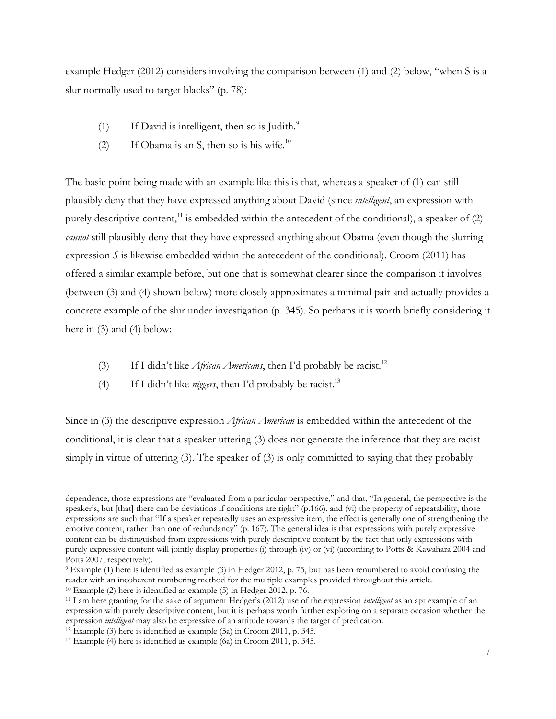example Hedger (2012) considers involving the comparison between (1) and (2) below, "when S is a slur normally used to target blacks" (p. 78):

- (1) If David is intelligent, then so is Judith. $9$
- (2) If Obama is an S, then so is his wife.<sup>10</sup>

The basic point being made with an example like this is that, whereas a speaker of (1) can still plausibly deny that they have expressed anything about David (since *intelligent*, an expression with purely descriptive content,<sup>11</sup> is embedded within the antecedent of the conditional), a speaker of  $(2)$ *cannot* still plausibly deny that they have expressed anything about Obama (even though the slurring expression *S* is likewise embedded within the antecedent of the conditional). Croom (2011) has offered a similar example before, but one that is somewhat clearer since the comparison it involves (between (3) and (4) shown below) more closely approximates a minimal pair and actually provides a concrete example of the slur under investigation (p. 345). So perhaps it is worth briefly considering it here in (3) and (4) below:

- (3) If I didn't like *African Americans*, then I'd probably be racist.<sup>12</sup>
- (4) If I didn't like *niggers*, then I'd probably be racist.<sup>13</sup>

Since in (3) the descriptive expression *African American* is embedded within the antecedent of the conditional, it is clear that a speaker uttering (3) does not generate the inference that they are racist simply in virtue of uttering (3). The speaker of (3) is only committed to saying that they probably

dependence, those expressions are "evaluated from a particular perspective," and that, "In general, the perspective is the speaker's, but [that] there can be deviations if conditions are right" (p.166), and (vi) the property of repeatability, those expressions are such that "If a speaker repeatedly uses an expressive item, the effect is generally one of strengthening the emotive content, rather than one of redundancy" (p. 167). The general idea is that expressions with purely expressive content can be distinguished from expressions with purely descriptive content by the fact that only expressions with purely expressive content will jointly display properties (i) through (iv) or (vi) (according to Potts & Kawahara 2004 and Potts 2007, respectively).<br><sup>9</sup> Example (1) here is identified as example (3) in Hedger 2012, p. 75, but has been renumbered to avoid confusing the

reader with an incoherent numbering method for the multiple examples provided throughout this article.

<sup>10</sup> Example (2) here is identified as example (5) in Hedger 2012, p. 76.

<sup>11</sup> I am here granting for the sake of argument Hedger's (2012) use of the expression *intelligent* as an apt example of an expression with purely descriptive content, but it is perhaps worth further exploring on a separate occasion whether the expression *intelligent* may also be expressive of an attitude towards the target of predication. 12 Example (3) here is identified as example (5a) in Croom 2011, p. 345.

<sup>13</sup> Example (4) here is identified as example (6a) in Croom 2011, p. 345.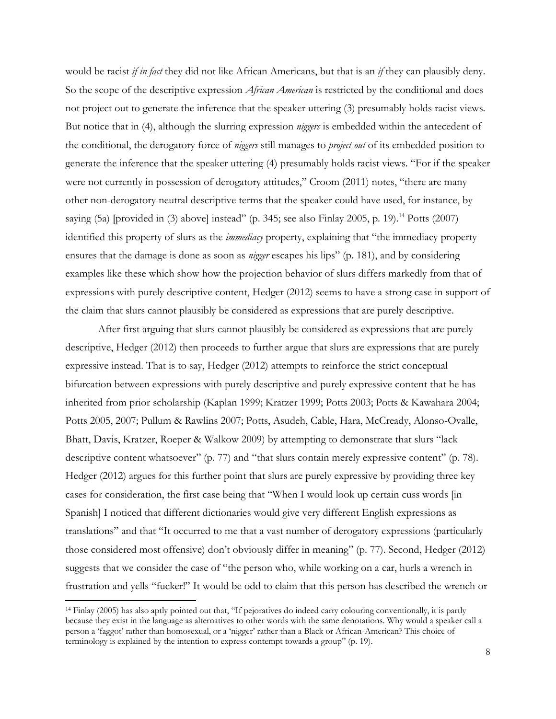would be racist *if in fact* they did not like African Americans, but that is an *if* they can plausibly deny. So the scope of the descriptive expression *African American* is restricted by the conditional and does not project out to generate the inference that the speaker uttering (3) presumably holds racist views. But notice that in (4), although the slurring expression *niggers* is embedded within the antecedent of the conditional, the derogatory force of *niggers* still manages to *project out* of its embedded position to generate the inference that the speaker uttering (4) presumably holds racist views. "For if the speaker were not currently in possession of derogatory attitudes," Croom (2011) notes, "there are many other non-derogatory neutral descriptive terms that the speaker could have used, for instance, by saying (5a) [provided in (3) above] instead" (p. 345; see also Finlay 2005, p. 19).<sup>14</sup> Potts (2007) identified this property of slurs as the *immediacy* property, explaining that "the immediacy property ensures that the damage is done as soon as *nigger* escapes his lips" (p. 181), and by considering examples like these which show how the projection behavior of slurs differs markedly from that of expressions with purely descriptive content, Hedger (2012) seems to have a strong case in support of the claim that slurs cannot plausibly be considered as expressions that are purely descriptive.

After first arguing that slurs cannot plausibly be considered as expressions that are purely descriptive, Hedger (2012) then proceeds to further argue that slurs are expressions that are purely expressive instead. That is to say, Hedger (2012) attempts to reinforce the strict conceptual bifurcation between expressions with purely descriptive and purely expressive content that he has inherited from prior scholarship (Kaplan 1999; Kratzer 1999; Potts 2003; Potts & Kawahara 2004; Potts 2005, 2007; Pullum & Rawlins 2007; Potts, Asudeh, Cable, Hara, McCready, Alonso-Ovalle, Bhatt, Davis, Kratzer, Roeper & Walkow 2009) by attempting to demonstrate that slurs "lack descriptive content whatsoever" (p. 77) and "that slurs contain merely expressive content" (p. 78). Hedger (2012) argues for this further point that slurs are purely expressive by providing three key cases for consideration, the first case being that "When I would look up certain cuss words [in Spanish] I noticed that different dictionaries would give very different English expressions as translations" and that "It occurred to me that a vast number of derogatory expressions (particularly those considered most offensive) don't obviously differ in meaning" (p. 77). Second, Hedger (2012) suggests that we consider the case of "the person who, while working on a car, hurls a wrench in frustration and yells "fucker!" It would be odd to claim that this person has described the wrench or

<sup>14</sup> Finlay (2005) has also aptly pointed out that, "If pejoratives do indeed carry colouring conventionally, it is partly because they exist in the language as alternatives to other words with the same denotations. Why would a speaker call a person a 'faggot' rather than homosexual, or a 'nigger' rather than a Black or African-American? This choice of terminology is explained by the intention to express contempt towards a group" (p. 19).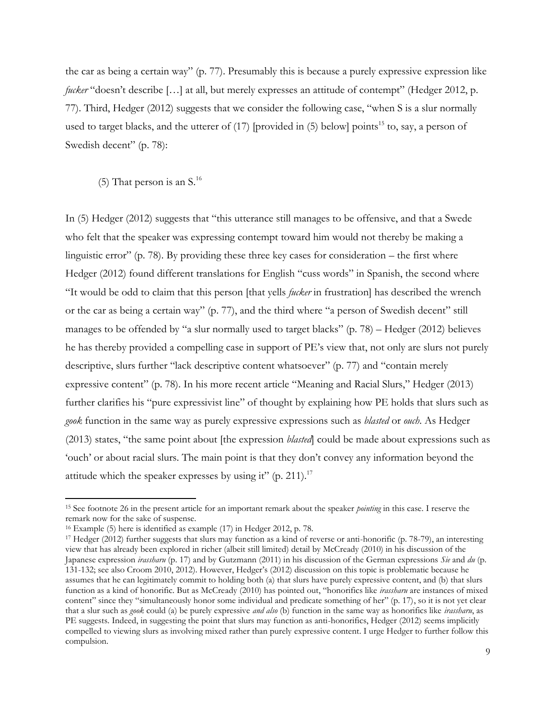the car as being a certain way" (p. 77). Presumably this is because a purely expressive expression like *fucker* "doesn't describe [...] at all, but merely expresses an attitude of contempt" (Hedger 2012, p. 77). Third, Hedger (2012) suggests that we consider the following case, "when S is a slur normally used to target blacks, and the utterer of  $(17)$  [provided in  $(5)$  below] points<sup>15</sup> to, say, a person of Swedish decent" (p. 78):

(5) That person is an  $S<sup>16</sup>$ 

In (5) Hedger (2012) suggests that "this utterance still manages to be offensive, and that a Swede who felt that the speaker was expressing contempt toward him would not thereby be making a linguistic error" (p. 78). By providing these three key cases for consideration – the first where Hedger (2012) found different translations for English "cuss words" in Spanish, the second where "It would be odd to claim that this person [that yells *fucker* in frustration] has described the wrench or the car as being a certain way" (p. 77), and the third where "a person of Swedish decent" still manages to be offended by "a slur normally used to target blacks" (p. 78) – Hedger (2012) believes he has thereby provided a compelling case in support of PE's view that, not only are slurs not purely descriptive, slurs further "lack descriptive content whatsoever" (p. 77) and "contain merely expressive content" (p. 78). In his more recent article "Meaning and Racial Slurs," Hedger (2013) further clarifies his "pure expressivist line" of thought by explaining how PE holds that slurs such as *gook* function in the same way as purely expressive expressions such as *blasted* or *ouch*. As Hedger (2013) states, "the same point about [the expression *blasted*] could be made about expressions such as 'ouch' or about racial slurs. The main point is that they don't convey any information beyond the attitude which the speaker expresses by using it"  $(p. 211).$ <sup>17</sup>

<sup>15</sup> See footnote 26 in the present article for an important remark about the speaker *pointing* in this case. I reserve the remark now for the sake of suspense.

<sup>16</sup> Example (5) here is identified as example (17) in Hedger 2012, p. 78.

<sup>17</sup> Hedger (2012) further suggests that slurs may function as a kind of reverse or anti-honorific (p. 78-79), an interesting view that has already been explored in richer (albeit still limited) detail by McCready (2010) in his discussion of the Japanese expression *irassharu* (p. 17) and by Gutzmann (2011) in his discussion of the German expressions *Sie* and *du* (p. 131-132; see also Croom 2010, 2012). However, Hedger's (2012) discussion on this topic is problematic because he assumes that he can legitimately commit to holding both (a) that slurs have purely expressive content, and (b) that slurs function as a kind of honorific. But as McCready (2010) has pointed out, "honorifics like *irassharu* are instances of mixed content" since they "simultaneously honor some individual and predicate something of her" (p. 17), so it is not yet clear that a slur such as *gook* could (a) be purely expressive *and also* (b) function in the same way as honorifics like *irassharu*, as PE suggests. Indeed, in suggesting the point that slurs may function as anti-honorifics, Hedger (2012) seems implicitly compelled to viewing slurs as involving mixed rather than purely expressive content. I urge Hedger to further follow this compulsion.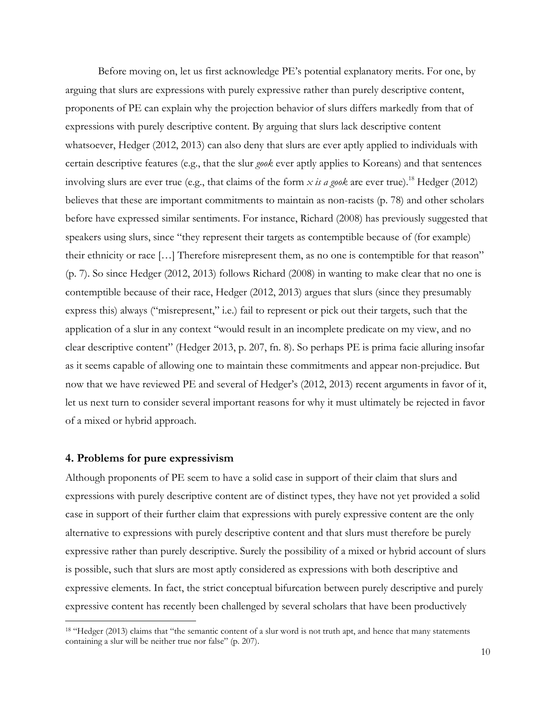Before moving on, let us first acknowledge PE's potential explanatory merits. For one, by arguing that slurs are expressions with purely expressive rather than purely descriptive content, proponents of PE can explain why the projection behavior of slurs differs markedly from that of expressions with purely descriptive content. By arguing that slurs lack descriptive content whatsoever, Hedger (2012, 2013) can also deny that slurs are ever aptly applied to individuals with certain descriptive features (e.g., that the slur *gook* ever aptly applies to Koreans) and that sentences involving slurs are ever true (e.g., that claims of the form *x is a gook* are ever true).<sup>18</sup> Hedger (2012) believes that these are important commitments to maintain as non-racists (p. 78) and other scholars before have expressed similar sentiments. For instance, Richard (2008) has previously suggested that speakers using slurs, since "they represent their targets as contemptible because of (for example) their ethnicity or race […] Therefore misrepresent them, as no one is contemptible for that reason" (p. 7). So since Hedger (2012, 2013) follows Richard (2008) in wanting to make clear that no one is contemptible because of their race, Hedger (2012, 2013) argues that slurs (since they presumably express this) always ("misrepresent," i.e.) fail to represent or pick out their targets, such that the application of a slur in any context "would result in an incomplete predicate on my view, and no clear descriptive content" (Hedger 2013, p. 207, fn. 8). So perhaps PE is prima facie alluring insofar as it seems capable of allowing one to maintain these commitments and appear non-prejudice. But now that we have reviewed PE and several of Hedger's (2012, 2013) recent arguments in favor of it, let us next turn to consider several important reasons for why it must ultimately be rejected in favor of a mixed or hybrid approach.

#### **4. Problems for pure expressivism**

 $\overline{a}$ 

Although proponents of PE seem to have a solid case in support of their claim that slurs and expressions with purely descriptive content are of distinct types, they have not yet provided a solid case in support of their further claim that expressions with purely expressive content are the only alternative to expressions with purely descriptive content and that slurs must therefore be purely expressive rather than purely descriptive. Surely the possibility of a mixed or hybrid account of slurs is possible, such that slurs are most aptly considered as expressions with both descriptive and expressive elements. In fact, the strict conceptual bifurcation between purely descriptive and purely expressive content has recently been challenged by several scholars that have been productively

<sup>&</sup>lt;sup>18</sup> "Hedger (2013) claims that "the semantic content of a slur word is not truth apt, and hence that many statements containing a slur will be neither true nor false" (p. 207).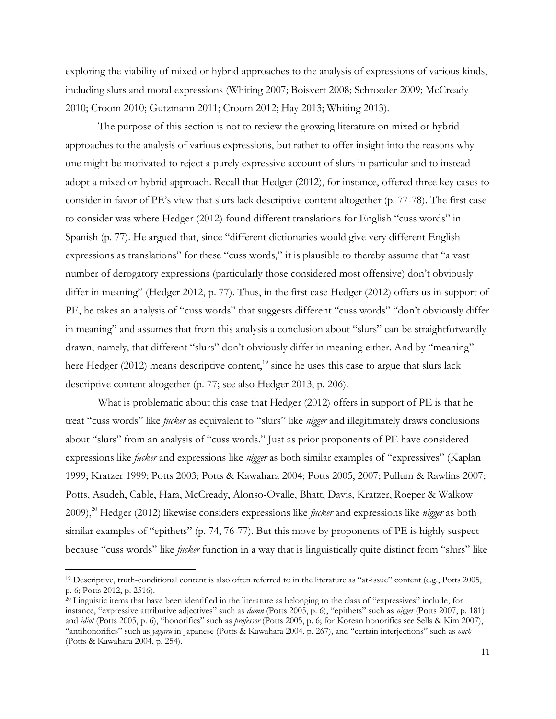exploring the viability of mixed or hybrid approaches to the analysis of expressions of various kinds, including slurs and moral expressions (Whiting 2007; Boisvert 2008; Schroeder 2009; McCready 2010; Croom 2010; Gutzmann 2011; Croom 2012; Hay 2013; Whiting 2013).

The purpose of this section is not to review the growing literature on mixed or hybrid approaches to the analysis of various expressions, but rather to offer insight into the reasons why one might be motivated to reject a purely expressive account of slurs in particular and to instead adopt a mixed or hybrid approach. Recall that Hedger (2012), for instance, offered three key cases to consider in favor of PE's view that slurs lack descriptive content altogether (p. 77-78). The first case to consider was where Hedger (2012) found different translations for English "cuss words" in Spanish (p. 77). He argued that, since "different dictionaries would give very different English expressions as translations" for these "cuss words," it is plausible to thereby assume that "a vast number of derogatory expressions (particularly those considered most offensive) don't obviously differ in meaning" (Hedger 2012, p. 77). Thus, in the first case Hedger (2012) offers us in support of PE, he takes an analysis of "cuss words" that suggests different "cuss words" "don't obviously differ in meaning" and assumes that from this analysis a conclusion about "slurs" can be straightforwardly drawn, namely, that different "slurs" don't obviously differ in meaning either. And by "meaning" here Hedger (2012) means descriptive content,<sup>19</sup> since he uses this case to argue that slurs lack descriptive content altogether (p. 77; see also Hedger 2013, p. 206).

What is problematic about this case that Hedger (2012) offers in support of PE is that he treat "cuss words" like *fucker* as equivalent to "slurs" like *nigger* and illegitimately draws conclusions about "slurs" from an analysis of "cuss words." Just as prior proponents of PE have considered expressions like *fucker* and expressions like *nigger* as both similar examples of "expressives" (Kaplan 1999; Kratzer 1999; Potts 2003; Potts & Kawahara 2004; Potts 2005, 2007; Pullum & Rawlins 2007; Potts, Asudeh, Cable, Hara, McCready, Alonso-Ovalle, Bhatt, Davis, Kratzer, Roeper & Walkow 2009),20 Hedger (2012) likewise considers expressions like *fucker* and expressions like *nigger* as both similar examples of "epithets" (p. 74, 76-77). But this move by proponents of PE is highly suspect because "cuss words" like *fucker* function in a way that is linguistically quite distinct from "slurs" like

<sup>19</sup> Descriptive, truth-conditional content is also often referred to in the literature as "at-issue" content (e.g., Potts 2005, p. 6; Potts 2012, p. 2516).

 $20$  Linguistic items that have been identified in the literature as belonging to the class of "expressives" include, for instance, "expressive attributive adjectives" such as *damn* (Potts 2005, p. 6), "epithets" such as *nigger* (Potts 2007, p. 181) and *idiot* (Potts 2005, p. 6), "honorifics" such as *professor* (Potts 2005, p. 6; for Korean honorifics see Sells & Kim 2007), "antihonorifics" such as *yagaru* in Japanese (Potts & Kawahara 2004, p. 267), and "certain interjections" such as *ouch* (Potts & Kawahara 2004, p. 254).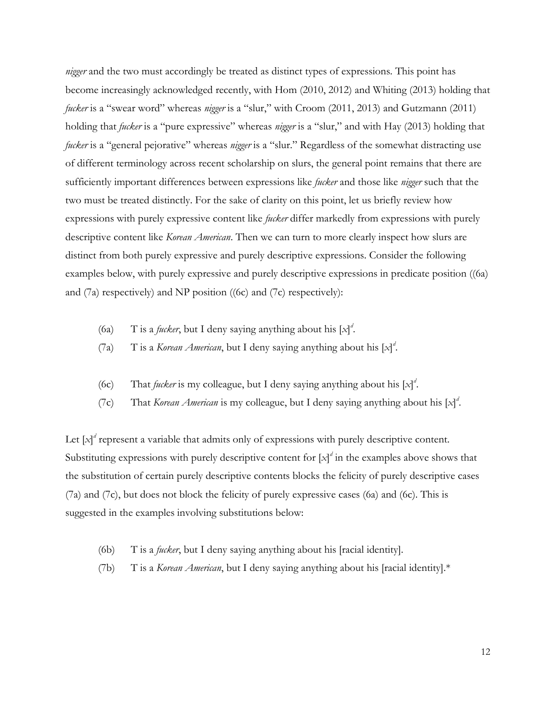*nigger* and the two must accordingly be treated as distinct types of expressions. This point has become increasingly acknowledged recently, with Hom (2010, 2012) and Whiting (2013) holding that *fucker* is a "swear word" whereas *nigger* is a "slur," with Croom (2011, 2013) and Gutzmann (2011) holding that *fucker* is a "pure expressive" whereas *nigger* is a "slur," and with Hay (2013) holding that *fucker* is a "general pejorative" whereas *nigger* is a "slur." Regardless of the somewhat distracting use of different terminology across recent scholarship on slurs, the general point remains that there are sufficiently important differences between expressions like *fucker* and those like *nigger* such that the two must be treated distinctly. For the sake of clarity on this point, let us briefly review how expressions with purely expressive content like *fucker* differ markedly from expressions with purely descriptive content like *Korean American*. Then we can turn to more clearly inspect how slurs are distinct from both purely expressive and purely descriptive expressions. Consider the following examples below, with purely expressive and purely descriptive expressions in predicate position ((6a) and (7a) respectively) and NP position ((6c) and (7c) respectively):

- (6a) T is a *fucker*, but I deny saying anything about his  $[x]^d$ .
- (7a) T is a *Korean American*, but I deny saying anything about his [*x*] *d* .
- (6c) That *fucker* is my colleague, but I deny saying anything about his  $[x]^d$ .
- (7c) That *Korean American* is my colleague, but I deny saying anything about his [*x*] *d* .

Let  $[x]$ <sup>d</sup> represent a variable that admits only of expressions with purely descriptive content. Substituting expressions with purely descriptive content for  $[x]$ <sup>d</sup> in the examples above shows that the substitution of certain purely descriptive contents blocks the felicity of purely descriptive cases (7a) and (7c), but does not block the felicity of purely expressive cases (6a) and (6c). This is suggested in the examples involving substitutions below:

- (6b) T is a *fucker*, but I deny saying anything about his [racial identity].
- (7b) T is a *Korean American*, but I deny saying anything about his [racial identity].\*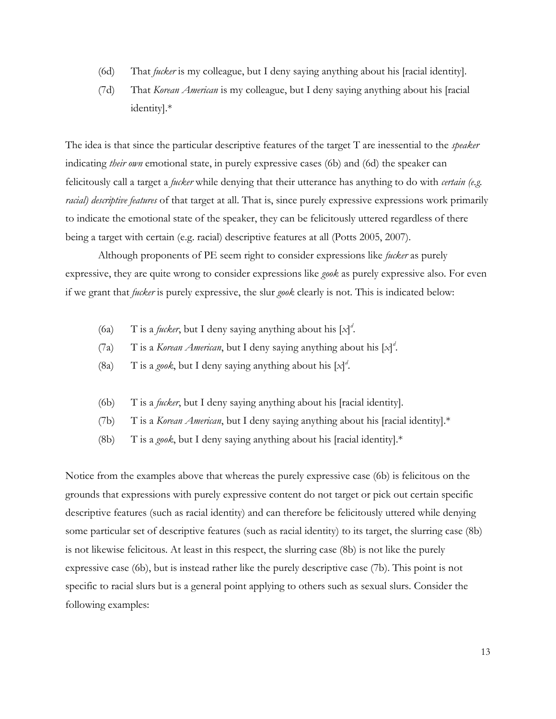- (6d) That *fucker* is my colleague, but I deny saying anything about his [racial identity].
- (7d) That *Korean American* is my colleague, but I deny saying anything about his [racial identity].\*

The idea is that since the particular descriptive features of the target T are inessential to the *speaker* indicating *their own* emotional state, in purely expressive cases (6b) and (6d) the speaker can felicitously call a target a *fucker* while denying that their utterance has anything to do with *certain (e.g. racial) descriptive features* of that target at all. That is, since purely expressive expressions work primarily to indicate the emotional state of the speaker, they can be felicitously uttered regardless of there being a target with certain (e.g. racial) descriptive features at all (Potts 2005, 2007).

Although proponents of PE seem right to consider expressions like *fucker* as purely expressive, they are quite wrong to consider expressions like *gook* as purely expressive also. For even if we grant that *fucker* is purely expressive, the slur *gook* clearly is not. This is indicated below:

- (6a) T is a *fucker*, but I deny saying anything about his  $[x]^d$ .
- (7a) T is a *Korean American*, but I deny saying anything about his [*x*] *d* .
- (8a) T is a *gook*, but I deny saying anything about his  $[x]^d$ .
- (6b) T is a *fucker*, but I deny saying anything about his [racial identity].
- (7b) T is a *Korean American*, but I deny saying anything about his [racial identity].\*
- (8b) T is a *gook*, but I deny saying anything about his [racial identity].\*

Notice from the examples above that whereas the purely expressive case (6b) is felicitous on the grounds that expressions with purely expressive content do not target or pick out certain specific descriptive features (such as racial identity) and can therefore be felicitously uttered while denying some particular set of descriptive features (such as racial identity) to its target, the slurring case (8b) is not likewise felicitous. At least in this respect, the slurring case (8b) is not like the purely expressive case (6b), but is instead rather like the purely descriptive case (7b). This point is not specific to racial slurs but is a general point applying to others such as sexual slurs. Consider the following examples: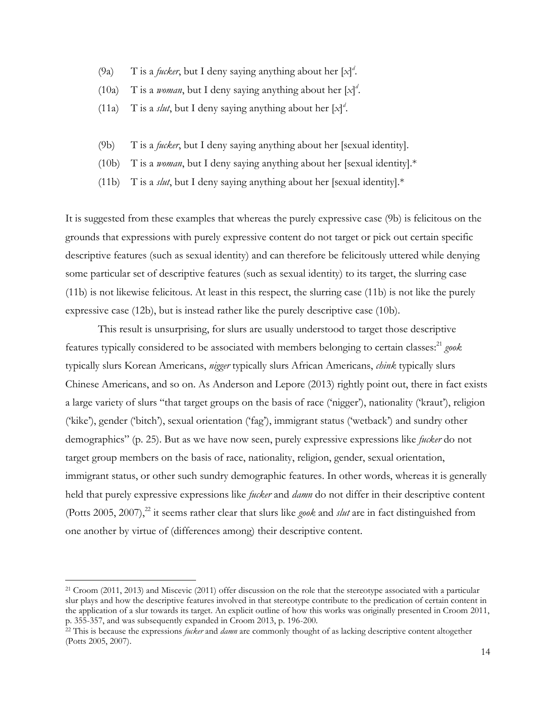- (9a) T is a *fucker*, but I deny saying anything about her  $[x]^d$ .
- (10a) T is a *woman*, but I deny saying anything about her  $[x]^d$ .
- (11a) T is a *slut*, but I deny saying anything about her  $[x]^d$ .
- (9b) T is a *fucker*, but I deny saying anything about her [sexual identity].
- (10b) T is a *woman*, but I deny saying anything about her [sexual identity].\*
- (11b) T is a *slut*, but I deny saying anything about her [sexual identity].\*

It is suggested from these examples that whereas the purely expressive case (9b) is felicitous on the grounds that expressions with purely expressive content do not target or pick out certain specific descriptive features (such as sexual identity) and can therefore be felicitously uttered while denying some particular set of descriptive features (such as sexual identity) to its target, the slurring case (11b) is not likewise felicitous. At least in this respect, the slurring case (11b) is not like the purely expressive case (12b), but is instead rather like the purely descriptive case (10b).

This result is unsurprising, for slurs are usually understood to target those descriptive features typically considered to be associated with members belonging to certain classes: <sup>21</sup> *gook* typically slurs Korean Americans, *nigger* typically slurs African Americans, *chink* typically slurs Chinese Americans, and so on. As Anderson and Lepore (2013) rightly point out, there in fact exists a large variety of slurs "that target groups on the basis of race ('nigger'), nationality ('kraut'), religion ('kike'), gender ('bitch'), sexual orientation ('fag'), immigrant status ('wetback') and sundry other demographics" (p. 25). But as we have now seen, purely expressive expressions like *fucker* do not target group members on the basis of race, nationality, religion, gender, sexual orientation, immigrant status, or other such sundry demographic features. In other words, whereas it is generally held that purely expressive expressions like *fucker* and *damn* do not differ in their descriptive content (Potts 2005, 2007),<sup>22</sup> it seems rather clear that slurs like *gook* and *slut* are in fact distinguished from one another by virtue of (differences among) their descriptive content.

 $\overline{a}$ 

<sup>21</sup> Croom (2011, 2013) and Miscevic (2011) offer discussion on the role that the stereotype associated with a particular slur plays and how the descriptive features involved in that stereotype contribute to the predication of certain content in the application of a slur towards its target. An explicit outline of how this works was originally presented in Croom 2011, p. 355-357, and was subsequently expanded in Croom 2013, p. 196-200.

<sup>&</sup>lt;sup>22</sup> This is because the expressions *fucker* and *damn* are commonly thought of as lacking descriptive content altogether (Potts 2005, 2007).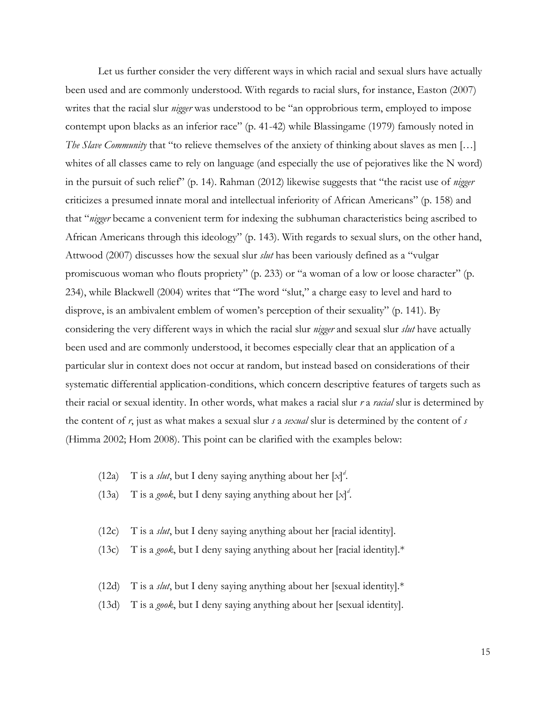Let us further consider the very different ways in which racial and sexual slurs have actually been used and are commonly understood. With regards to racial slurs, for instance, Easton (2007) writes that the racial slur *nigger* was understood to be "an opprobrious term, employed to impose contempt upon blacks as an inferior race" (p. 41-42) while Blassingame (1979) famously noted in *The Slave Community* that "to relieve themselves of the anxiety of thinking about slaves as men [...] whites of all classes came to rely on language (and especially the use of pejoratives like the N word) in the pursuit of such relief" (p. 14). Rahman (2012) likewise suggests that "the racist use of *nigger*  criticizes a presumed innate moral and intellectual inferiority of African Americans" (p. 158) and that "*nigger* became a convenient term for indexing the subhuman characteristics being ascribed to African Americans through this ideology" (p. 143). With regards to sexual slurs, on the other hand, Attwood (2007) discusses how the sexual slur *slut* has been variously defined as a "vulgar promiscuous woman who flouts propriety" (p. 233) or "a woman of a low or loose character" (p. 234), while Blackwell (2004) writes that "The word "slut," a charge easy to level and hard to disprove, is an ambivalent emblem of women's perception of their sexuality" (p. 141). By considering the very different ways in which the racial slur *nigger* and sexual slur *slut* have actually been used and are commonly understood, it becomes especially clear that an application of a particular slur in context does not occur at random, but instead based on considerations of their systematic differential application-conditions, which concern descriptive features of targets such as their racial or sexual identity. In other words, what makes a racial slur *r* a *racial* slur is determined by the content of *r*, just as what makes a sexual slur *s* a *sexual* slur is determined by the content of *s*  (Himma 2002; Hom 2008). This point can be clarified with the examples below:

- (12a) T is a *slut*, but I deny saying anything about her  $[x]^d$ .
- (13a) T is a *gook*, but I deny saying anything about her  $[x]^d$ .
- (12c) T is a *slut*, but I deny saying anything about her [racial identity].
- (13c) T is a *gook*, but I deny saying anything about her [racial identity].\*
- (12d) T is a *slut*, but I deny saying anything about her [sexual identity].\*
- (13d) T is a *gook*, but I deny saying anything about her [sexual identity].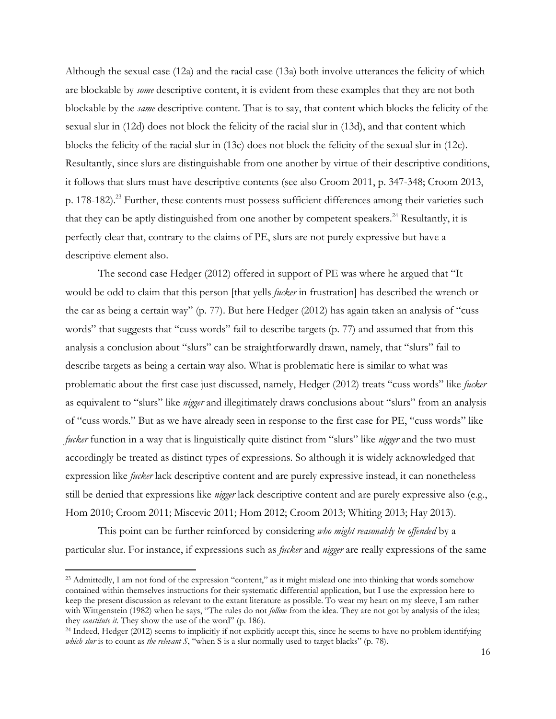Although the sexual case (12a) and the racial case (13a) both involve utterances the felicity of which are blockable by *some* descriptive content, it is evident from these examples that they are not both blockable by the *same* descriptive content. That is to say, that content which blocks the felicity of the sexual slur in (12d) does not block the felicity of the racial slur in (13d), and that content which blocks the felicity of the racial slur in (13c) does not block the felicity of the sexual slur in (12c). Resultantly, since slurs are distinguishable from one another by virtue of their descriptive conditions, it follows that slurs must have descriptive contents (see also Croom 2011, p. 347-348; Croom 2013, p. 178-182).23 Further, these contents must possess sufficient differences among their varieties such that they can be aptly distinguished from one another by competent speakers.<sup>24</sup> Resultantly, it is perfectly clear that, contrary to the claims of PE, slurs are not purely expressive but have a descriptive element also.

The second case Hedger (2012) offered in support of PE was where he argued that "It would be odd to claim that this person [that yells *fucker* in frustration] has described the wrench or the car as being a certain way" (p. 77). But here Hedger (2012) has again taken an analysis of "cuss words" that suggests that "cuss words" fail to describe targets (p. 77) and assumed that from this analysis a conclusion about "slurs" can be straightforwardly drawn, namely, that "slurs" fail to describe targets as being a certain way also. What is problematic here is similar to what was problematic about the first case just discussed, namely, Hedger (2012) treats "cuss words" like *fucker* as equivalent to "slurs" like *nigger* and illegitimately draws conclusions about "slurs" from an analysis of "cuss words." But as we have already seen in response to the first case for PE, "cuss words" like *fucker* function in a way that is linguistically quite distinct from "slurs" like *nigger* and the two must accordingly be treated as distinct types of expressions. So although it is widely acknowledged that expression like *fucker* lack descriptive content and are purely expressive instead, it can nonetheless still be denied that expressions like *nigger* lack descriptive content and are purely expressive also (e.g., Hom 2010; Croom 2011; Miscevic 2011; Hom 2012; Croom 2013; Whiting 2013; Hay 2013).

This point can be further reinforced by considering *who might reasonably be offended* by a particular slur. For instance, if expressions such as *fucker* and *nigger* are really expressions of the same

 $^{23}$  Admittedly, I am not fond of the expression "content," as it might mislead one into thinking that words somehow contained within themselves instructions for their systematic differential application, but I use the expression here to keep the present discussion as relevant to the extant literature as possible. To wear my heart on my sleeve, I am rather with Wittgenstein (1982) when he says, "The rules do not *follow* from the idea. They are not got by analysis of the idea; they *constitute it*. They show the use of the word" (p. 186).

<sup>&</sup>lt;sup>24</sup> Indeed, Hedger (2012) seems to implicitly if not explicitly accept this, since he seems to have no problem identifying *which slur* is to count as *the relevant S*, "when S is a slur normally used to target blacks" (p. 78).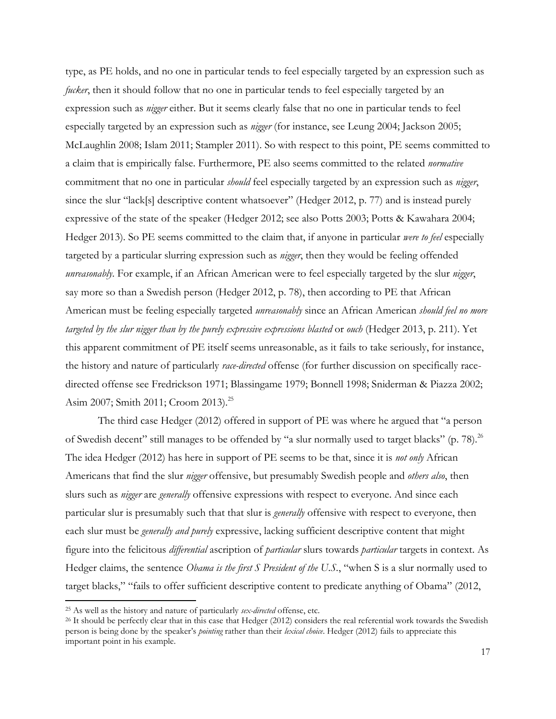type, as PE holds, and no one in particular tends to feel especially targeted by an expression such as *fucker*, then it should follow that no one in particular tends to feel especially targeted by an expression such as *nigger* either. But it seems clearly false that no one in particular tends to feel especially targeted by an expression such as *nigger* (for instance, see Leung 2004; Jackson 2005; McLaughlin 2008; Islam 2011; Stampler 2011). So with respect to this point, PE seems committed to a claim that is empirically false. Furthermore, PE also seems committed to the related *normative* commitment that no one in particular *should* feel especially targeted by an expression such as *nigger*, since the slur "lack[s] descriptive content whatsoever" (Hedger 2012, p. 77) and is instead purely expressive of the state of the speaker (Hedger 2012; see also Potts 2003; Potts & Kawahara 2004; Hedger 2013). So PE seems committed to the claim that, if anyone in particular *were to feel* especially targeted by a particular slurring expression such as *nigger*, then they would be feeling offended *unreasonably*. For example, if an African American were to feel especially targeted by the slur *nigger*, say more so than a Swedish person (Hedger 2012, p. 78), then according to PE that African American must be feeling especially targeted *unreasonably* since an African American *should feel no more targeted by the slur nigger than by the purely expressive expressions blasted* or *ouch* (Hedger 2013, p. 211). Yet this apparent commitment of PE itself seems unreasonable, as it fails to take seriously, for instance, the history and nature of particularly *race-directed* offense (for further discussion on specifically racedirected offense see Fredrickson 1971; Blassingame 1979; Bonnell 1998; Sniderman & Piazza 2002; Asim 2007; Smith 2011; Croom 2013).<sup>25</sup>

The third case Hedger (2012) offered in support of PE was where he argued that "a person of Swedish decent" still manages to be offended by "a slur normally used to target blacks" (p. 78).<sup>26</sup> The idea Hedger (2012) has here in support of PE seems to be that, since it is *not only* African Americans that find the slur *nigger* offensive, but presumably Swedish people and *others also*, then slurs such as *nigger* are *generally* offensive expressions with respect to everyone. And since each particular slur is presumably such that that slur is *generally* offensive with respect to everyone, then each slur must be *generally and purely* expressive, lacking sufficient descriptive content that might figure into the felicitous *differential* ascription of *particular* slurs towards *particular* targets in context. As Hedger claims, the sentence *Obama is the first S President of the U.S.*, "when S is a slur normally used to target blacks," "fails to offer sufficient descriptive content to predicate anything of Obama" (2012,

<sup>25</sup> As well as the history and nature of particularly *sex-directed* offense, etc.

<sup>&</sup>lt;sup>26</sup> It should be perfectly clear that in this case that Hedger (2012) considers the real referential work towards the Swedish person is being done by the speaker's *pointing* rather than their *lexical choice*. Hedger (2012) fails to appreciate this important point in his example.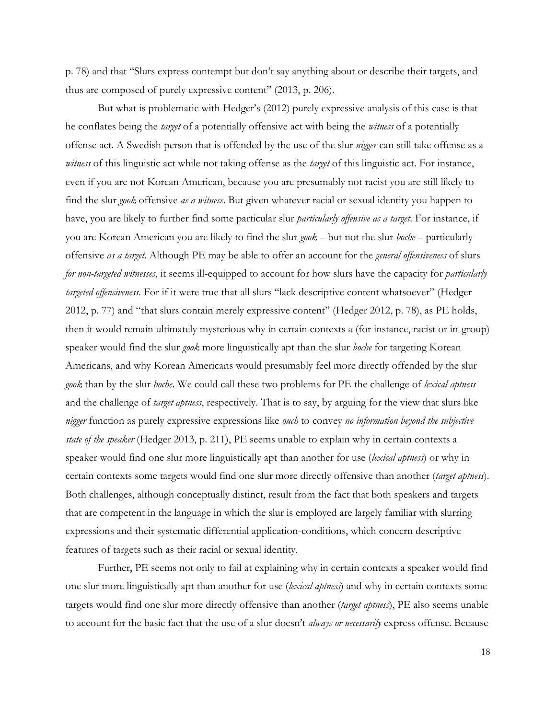p. 78) and that "Slurs express contempt but don't say anything about or describe their targets, and thus are composed of purely expressive content" (2013, p. 206).

But what is problematic with Hedger's (2012) purely expressive analysis of this case is that he conflates being the *target* of a potentially offensive act with being the *witness* of a potentially offense act. A Swedish person that is offended by the use of the slur *nigger* can still take offense as a *witness* of this linguistic act while not taking offense as the *target* of this linguistic act. For instance, even if you are not Korean American, because you are presumably not racist you are still likely to find the slur *gook* offensive *as a witness*. But given whatever racial or sexual identity you happen to have, you are likely to further find some particular slur *particularly offensive as a target*. For instance, if you are Korean American you are likely to find the slur *gook* – but not the slur *boche* – particularly offensive *as a target*. Although PE may be able to offer an account for the *general offensiveness* of slurs *for non-targeted witnesses*, it seems ill-equipped to account for how slurs have the capacity for *particularly targeted offensiveness*. For if it were true that all slurs "lack descriptive content whatsoever" (Hedger 2012, p. 77) and "that slurs contain merely expressive content" (Hedger 2012, p. 78), as PE holds, then it would remain ultimately mysterious why in certain contexts a (for instance, racist or in-group) speaker would find the slur *gook* more linguistically apt than the slur *boche* for targeting Korean Americans, and why Korean Americans would presumably feel more directly offended by the slur *gook* than by the slur *boche*. We could call these two problems for PE the challenge of *lexical aptness* and the challenge of *target aptness*, respectively. That is to say, by arguing for the view that slurs like *nigger* function as purely expressive expressions like *ouch* to convey *no information beyond the subjective state of the speaker* (Hedger 2013, p. 211), PE seems unable to explain why in certain contexts a speaker would find one slur more linguistically apt than another for use (*lexical aptness*) or why in certain contexts some targets would find one slur more directly offensive than another (*target aptness*). Both challenges, although conceptually distinct, result from the fact that both speakers and targets that are competent in the language in which the slur is employed are largely familiar with slurring expressions and their systematic differential application-conditions, which concern descriptive features of targets such as their racial or sexual identity.

Further, PE seems not only to fail at explaining why in certain contexts a speaker would find one slur more linguistically apt than another for use (*lexical aptness*) and why in certain contexts some targets would find one slur more directly offensive than another (*target aptness*), PE also seems unable to account for the basic fact that the use of a slur doesn't *always or necessarily* express offense. Because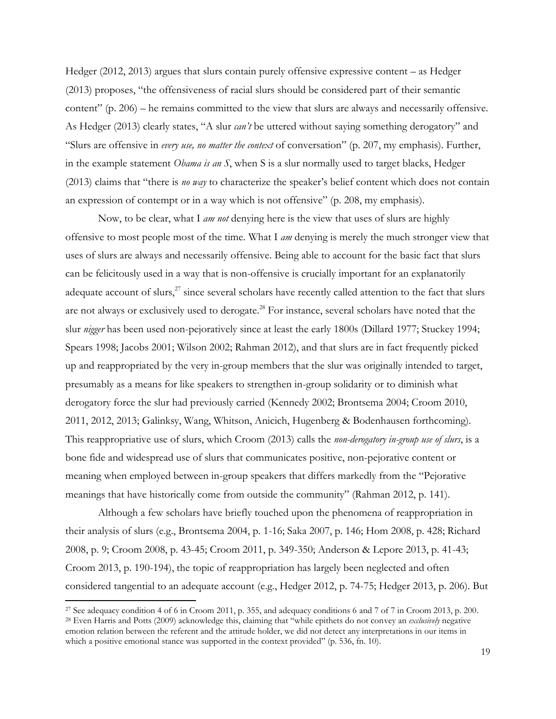Hedger (2012, 2013) argues that slurs contain purely offensive expressive content – as Hedger (2013) proposes, "the offensiveness of racial slurs should be considered part of their semantic content" (p. 206) – he remains committed to the view that slurs are always and necessarily offensive. As Hedger (2013) clearly states, "A slur *can't* be uttered without saying something derogatory" and "Slurs are offensive in *every use, no matter the context* of conversation" (p. 207, my emphasis). Further, in the example statement *Obama is an S*, when S is a slur normally used to target blacks, Hedger (2013) claims that "there is *no way* to characterize the speaker's belief content which does not contain an expression of contempt or in a way which is not offensive" (p. 208, my emphasis).

Now, to be clear, what I *am not* denying here is the view that uses of slurs are highly offensive to most people most of the time. What I *am* denying is merely the much stronger view that uses of slurs are always and necessarily offensive. Being able to account for the basic fact that slurs can be felicitously used in a way that is non-offensive is crucially important for an explanatorily adequate account of slurs,<sup>27</sup> since several scholars have recently called attention to the fact that slurs are not always or exclusively used to derogate.<sup>28</sup> For instance, several scholars have noted that the slur *nigger* has been used non-pejoratively since at least the early 1800s (Dillard 1977; Stuckey 1994; Spears 1998; Jacobs 2001; Wilson 2002; Rahman 2012), and that slurs are in fact frequently picked up and reappropriated by the very in-group members that the slur was originally intended to target, presumably as a means for like speakers to strengthen in-group solidarity or to diminish what derogatory force the slur had previously carried (Kennedy 2002; Brontsema 2004; Croom 2010, 2011, 2012, 2013; Galinksy, Wang, Whitson, Anicich, Hugenberg & Bodenhausen forthcoming). This reappropriative use of slurs, which Croom (2013) calls the *non-derogatory in-group use of slurs*, is a bone fide and widespread use of slurs that communicates positive, non-pejorative content or meaning when employed between in-group speakers that differs markedly from the "Pejorative meanings that have historically come from outside the community" (Rahman 2012, p. 141).

Although a few scholars have briefly touched upon the phenomena of reappropriation in their analysis of slurs (e.g., Brontsema 2004, p. 1-16; Saka 2007, p. 146; Hom 2008, p. 428; Richard 2008, p. 9; Croom 2008, p. 43-45; Croom 2011, p. 349-350; Anderson & Lepore 2013, p. 41-43; Croom 2013, p. 190-194), the topic of reappropriation has largely been neglected and often considered tangential to an adequate account (e.g., Hedger 2012, p. 74-75; Hedger 2013, p. 206). But

<sup>27</sup> See adequacy condition 4 of 6 in Croom 2011, p. 355, and adequacy conditions 6 and 7 of 7 in Croom 2013, p. 200. <sup>28</sup> Even Harris and Potts (2009) acknowledge this, claiming that "while epithets do not convey an *exclusively* negative emotion relation between the referent and the attitude holder, we did not detect any interpretations in our items in which a positive emotional stance was supported in the context provided" (p. 536, fn. 10).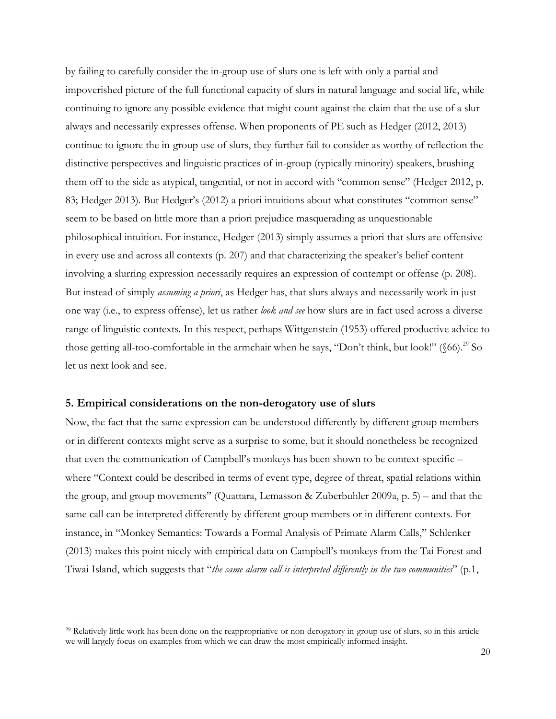by failing to carefully consider the in-group use of slurs one is left with only a partial and impoverished picture of the full functional capacity of slurs in natural language and social life, while continuing to ignore any possible evidence that might count against the claim that the use of a slur always and necessarily expresses offense. When proponents of PE such as Hedger (2012, 2013) continue to ignore the in-group use of slurs, they further fail to consider as worthy of reflection the distinctive perspectives and linguistic practices of in-group (typically minority) speakers, brushing them off to the side as atypical, tangential, or not in accord with "common sense" (Hedger 2012, p. 83; Hedger 2013). But Hedger's (2012) a priori intuitions about what constitutes "common sense" seem to be based on little more than a priori prejudice masquerading as unquestionable philosophical intuition. For instance, Hedger (2013) simply assumes a priori that slurs are offensive in every use and across all contexts (p. 207) and that characterizing the speaker's belief content involving a slurring expression necessarily requires an expression of contempt or offense (p. 208). But instead of simply *assuming a priori*, as Hedger has, that slurs always and necessarily work in just one way (i.e., to express offense), let us rather *look and see* how slurs are in fact used across a diverse range of linguistic contexts. In this respect, perhaps Wittgenstein (1953) offered productive advice to those getting all-too-comfortable in the armchair when he says, "Don't think, but look!"  $(\$66)$ .<sup>29</sup> So let us next look and see.

#### **5. Empirical considerations on the non-derogatory use of slurs**

 $\overline{a}$ 

Now, the fact that the same expression can be understood differently by different group members or in different contexts might serve as a surprise to some, but it should nonetheless be recognized that even the communication of Campbell's monkeys has been shown to be context-specific – where "Context could be described in terms of event type, degree of threat, spatial relations within the group, and group movements" (Quattara, Lemasson & Zuberbuhler 2009a, p. 5) – and that the same call can be interpreted differently by different group members or in different contexts. For instance, in "Monkey Semantics: Towards a Formal Analysis of Primate Alarm Calls," Schlenker (2013) makes this point nicely with empirical data on Campbell's monkeys from the Tai Forest and Tiwai Island, which suggests that "*the same alarm call is interpreted differently in the two communities*" (p.1,

<sup>&</sup>lt;sup>29</sup> Relatively little work has been done on the reappropriative or non-derogatory in-group use of slurs, so in this article we will largely focus on examples from which we can draw the most empirically informed insight.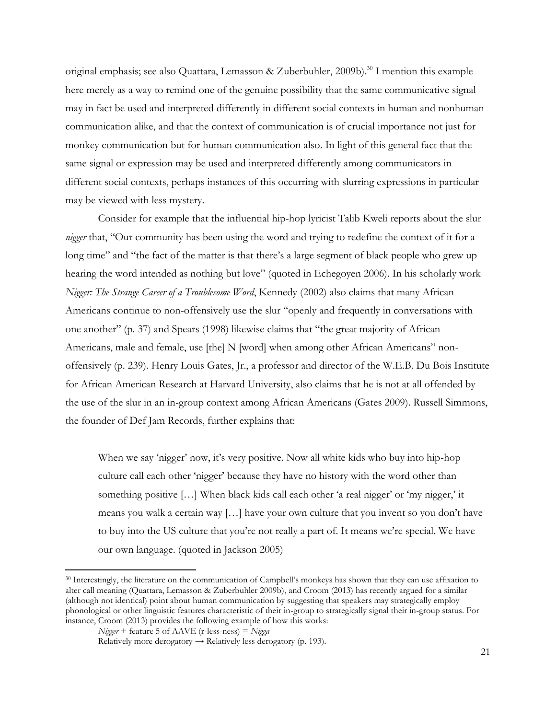original emphasis; see also Quattara, Lemasson & Zuberbuhler, 2009b).<sup>30</sup> I mention this example here merely as a way to remind one of the genuine possibility that the same communicative signal may in fact be used and interpreted differently in different social contexts in human and nonhuman communication alike, and that the context of communication is of crucial importance not just for monkey communication but for human communication also. In light of this general fact that the same signal or expression may be used and interpreted differently among communicators in different social contexts, perhaps instances of this occurring with slurring expressions in particular may be viewed with less mystery.

Consider for example that the influential hip-hop lyricist Talib Kweli reports about the slur *nigger* that, "Our community has been using the word and trying to redefine the context of it for a long time" and "the fact of the matter is that there's a large segment of black people who grew up hearing the word intended as nothing but love" (quoted in Echegoyen 2006). In his scholarly work *Nigger: The Strange Career of a Troublesome Word*, Kennedy (2002) also claims that many African Americans continue to non-offensively use the slur "openly and frequently in conversations with one another" (p. 37) and Spears (1998) likewise claims that "the great majority of African Americans, male and female, use [the] N [word] when among other African Americans" nonoffensively (p. 239). Henry Louis Gates, Jr., a professor and director of the W.E.B. Du Bois Institute for African American Research at Harvard University, also claims that he is not at all offended by the use of the slur in an in-group context among African Americans (Gates 2009). Russell Simmons, the founder of Def Jam Records, further explains that:

When we say 'nigger' now, it's very positive. Now all white kids who buy into hip-hop culture call each other 'nigger' because they have no history with the word other than something positive […] When black kids call each other 'a real nigger' or 'my nigger,' it means you walk a certain way […] have your own culture that you invent so you don't have to buy into the US culture that you're not really a part of. It means we're special. We have our own language. (quoted in Jackson 2005)

<sup>30</sup> Interestingly, the literature on the communication of Campbell's monkeys has shown that they can use affixation to alter call meaning (Quattara, Lemasson & Zuberbuhler 2009b), and Croom (2013) has recently argued for a similar (although not identical) point about human communication by suggesting that speakers may strategically employ phonological or other linguistic features characteristic of their in-group to strategically signal their in-group status. For instance, Croom (2013) provides the following example of how this works:

*Nigger* + feature 5 of AAVE (r-less-ness) = *Nigga*

Relatively more derogatory  $\rightarrow$  Relatively less derogatory (p. 193).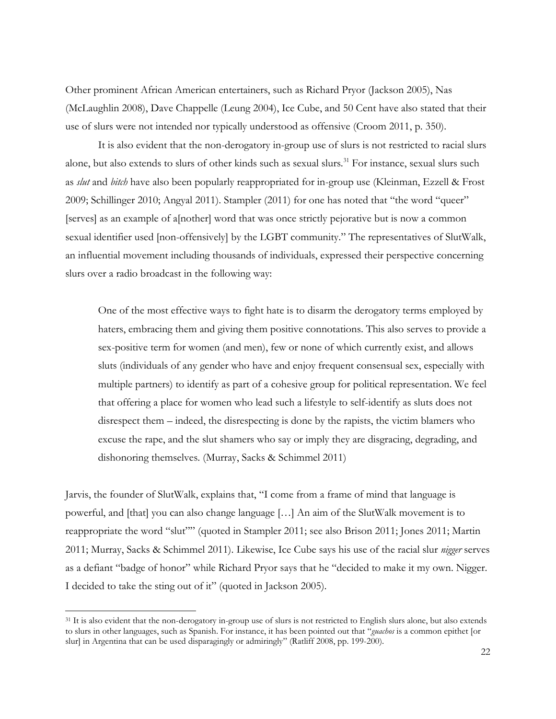Other prominent African American entertainers, such as Richard Pryor (Jackson 2005), Nas (McLaughlin 2008), Dave Chappelle (Leung 2004), Ice Cube, and 50 Cent have also stated that their use of slurs were not intended nor typically understood as offensive (Croom 2011, p. 350).

It is also evident that the non-derogatory in-group use of slurs is not restricted to racial slurs alone, but also extends to slurs of other kinds such as sexual slurs.<sup>31</sup> For instance, sexual slurs such as *slut* and *bitch* have also been popularly reappropriated for in-group use (Kleinman, Ezzell & Frost 2009; Schillinger 2010; Angyal 2011). Stampler (2011) for one has noted that "the word "queer" [serves] as an example of a[nother] word that was once strictly pejorative but is now a common sexual identifier used [non-offensively] by the LGBT community." The representatives of SlutWalk, an influential movement including thousands of individuals, expressed their perspective concerning slurs over a radio broadcast in the following way:

One of the most effective ways to fight hate is to disarm the derogatory terms employed by haters, embracing them and giving them positive connotations. This also serves to provide a sex-positive term for women (and men), few or none of which currently exist, and allows sluts (individuals of any gender who have and enjoy frequent consensual sex, especially with multiple partners) to identify as part of a cohesive group for political representation. We feel that offering a place for women who lead such a lifestyle to self-identify as sluts does not disrespect them – indeed, the disrespecting is done by the rapists, the victim blamers who excuse the rape, and the slut shamers who say or imply they are disgracing, degrading, and dishonoring themselves. (Murray, Sacks & Schimmel 2011)

Jarvis, the founder of SlutWalk, explains that, "I come from a frame of mind that language is powerful, and [that] you can also change language […] An aim of the SlutWalk movement is to reappropriate the word "slut"" (quoted in Stampler 2011; see also Brison 2011; Jones 2011; Martin 2011; Murray, Sacks & Schimmel 2011). Likewise, Ice Cube says his use of the racial slur *nigger* serves as a defiant "badge of honor" while Richard Pryor says that he "decided to make it my own. Nigger. I decided to take the sting out of it" (quoted in Jackson 2005).

<sup>&</sup>lt;sup>31</sup> It is also evident that the non-derogatory in-group use of slurs is not restricted to English slurs alone, but also extends to slurs in other languages, such as Spanish. For instance, it has been pointed out that "*guachos* is a common epithet [or slur] in Argentina that can be used disparagingly or admiringly" (Ratliff 2008, pp. 199-200).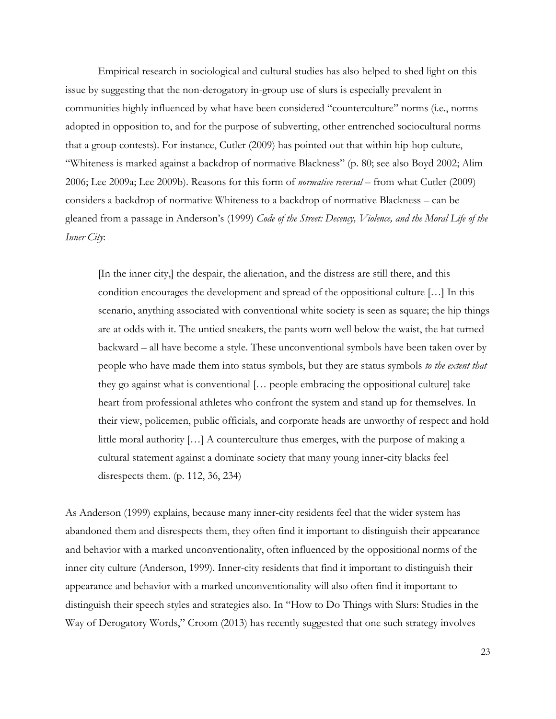Empirical research in sociological and cultural studies has also helped to shed light on this issue by suggesting that the non-derogatory in-group use of slurs is especially prevalent in communities highly influenced by what have been considered "counterculture" norms (i.e., norms adopted in opposition to, and for the purpose of subverting, other entrenched sociocultural norms that a group contests). For instance, Cutler (2009) has pointed out that within hip-hop culture, "Whiteness is marked against a backdrop of normative Blackness" (p. 80; see also Boyd 2002; Alim 2006; Lee 2009a; Lee 2009b). Reasons for this form of *normative reversal* – from what Cutler (2009) considers a backdrop of normative Whiteness to a backdrop of normative Blackness – can be gleaned from a passage in Anderson's (1999) *Code of the Street: Decency, Violence, and the Moral Life of the Inner City*:

[In the inner city,] the despair, the alienation, and the distress are still there, and this condition encourages the development and spread of the oppositional culture […] In this scenario, anything associated with conventional white society is seen as square; the hip things are at odds with it. The untied sneakers, the pants worn well below the waist, the hat turned backward – all have become a style. These unconventional symbols have been taken over by people who have made them into status symbols, but they are status symbols *to the extent that* they go against what is conventional [… people embracing the oppositional culture] take heart from professional athletes who confront the system and stand up for themselves. In their view, policemen, public officials, and corporate heads are unworthy of respect and hold little moral authority […] A counterculture thus emerges, with the purpose of making a cultural statement against a dominate society that many young inner-city blacks feel disrespects them. (p. 112, 36, 234)

As Anderson (1999) explains, because many inner-city residents feel that the wider system has abandoned them and disrespects them, they often find it important to distinguish their appearance and behavior with a marked unconventionality, often influenced by the oppositional norms of the inner city culture (Anderson, 1999). Inner-city residents that find it important to distinguish their appearance and behavior with a marked unconventionality will also often find it important to distinguish their speech styles and strategies also. In "How to Do Things with Slurs: Studies in the Way of Derogatory Words," Croom (2013) has recently suggested that one such strategy involves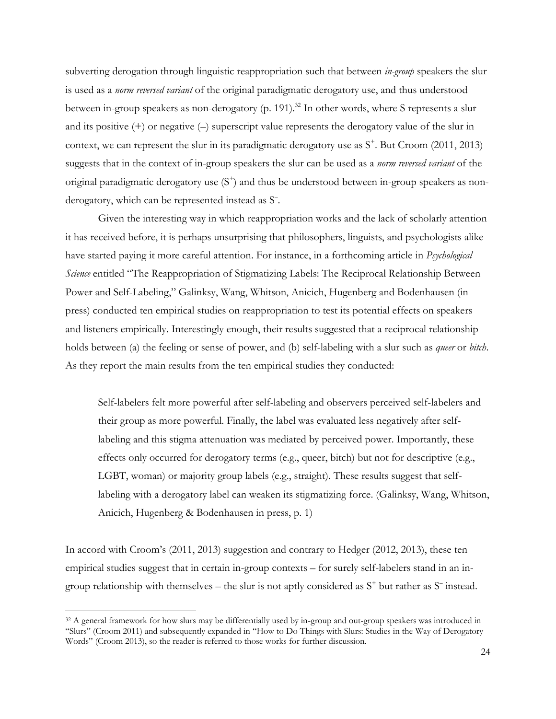subverting derogation through linguistic reappropriation such that between *in-group* speakers the slur is used as a *norm reversed variant* of the original paradigmatic derogatory use, and thus understood between in-group speakers as non-derogatory (p. 191).<sup>32</sup> In other words, where S represents a slur and its positive  $(+)$  or negative  $(-)$  superscript value represents the derogatory value of the slur in context, we can represent the slur in its paradigmatic derogatory use as  $S^+$ . But Croom (2011, 2013) suggests that in the context of in-group speakers the slur can be used as a *norm reversed variant* of the original paradigmatic derogatory use  $(S<sup>+</sup>)$  and thus be understood between in-group speakers as nonderogatory, which can be represented instead as S– .

Given the interesting way in which reappropriation works and the lack of scholarly attention it has received before, it is perhaps unsurprising that philosophers, linguists, and psychologists alike have started paying it more careful attention. For instance, in a forthcoming article in *Psychological Science* entitled "The Reappropriation of Stigmatizing Labels: The Reciprocal Relationship Between Power and Self-Labeling," Galinksy, Wang, Whitson, Anicich, Hugenberg and Bodenhausen (in press) conducted ten empirical studies on reappropriation to test its potential effects on speakers and listeners empirically. Interestingly enough, their results suggested that a reciprocal relationship holds between (a) the feeling or sense of power, and (b) self-labeling with a slur such as *queer* or *bitch*. As they report the main results from the ten empirical studies they conducted:

Self-labelers felt more powerful after self-labeling and observers perceived self-labelers and their group as more powerful. Finally, the label was evaluated less negatively after selflabeling and this stigma attenuation was mediated by perceived power. Importantly, these effects only occurred for derogatory terms (e.g., queer, bitch) but not for descriptive (e.g., LGBT, woman) or majority group labels (e.g., straight). These results suggest that selflabeling with a derogatory label can weaken its stigmatizing force. (Galinksy, Wang, Whitson, Anicich, Hugenberg & Bodenhausen in press, p. 1)

In accord with Croom's (2011, 2013) suggestion and contrary to Hedger (2012, 2013), these ten empirical studies suggest that in certain in-group contexts – for surely self-labelers stand in an ingroup relationship with themselves – the slur is not aptly considered as  $S^+$  but rather as  $S^-$  instead.

 $32$  A general framework for how slurs may be differentially used by in-group and out-group speakers was introduced in "Slurs" (Croom 2011) and subsequently expanded in "How to Do Things with Slurs: Studies in the Way of Derogatory Words" (Croom 2013), so the reader is referred to those works for further discussion.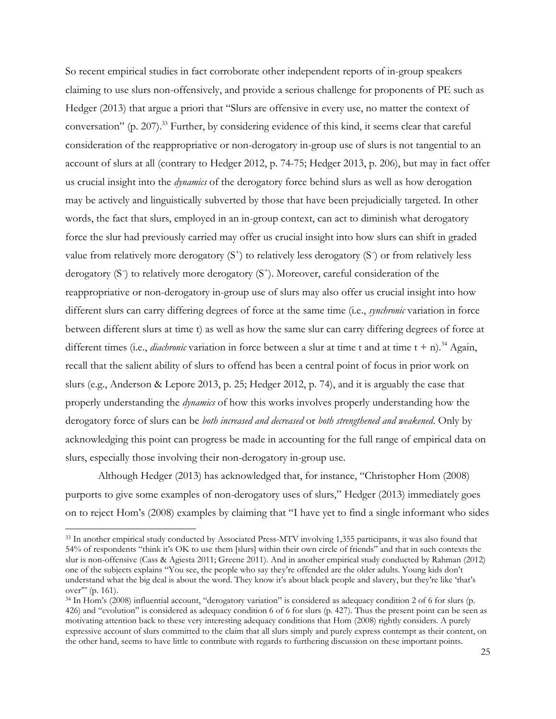So recent empirical studies in fact corroborate other independent reports of in-group speakers claiming to use slurs non-offensively, and provide a serious challenge for proponents of PE such as Hedger (2013) that argue a priori that "Slurs are offensive in every use, no matter the context of conversation" (p. 207).<sup>33</sup> Further, by considering evidence of this kind, it seems clear that careful consideration of the reappropriative or non-derogatory in-group use of slurs is not tangential to an account of slurs at all (contrary to Hedger 2012, p. 74-75; Hedger 2013, p. 206), but may in fact offer us crucial insight into the *dynamics* of the derogatory force behind slurs as well as how derogation may be actively and linguistically subverted by those that have been prejudicially targeted. In other words, the fact that slurs, employed in an in-group context, can act to diminish what derogatory force the slur had previously carried may offer us crucial insight into how slurs can shift in graded value from relatively more derogatory  $(S<sup>+</sup>)$  to relatively less derogatory  $(S<sup>-</sup>)$  or from relatively less derogatory (S<sup>-</sup>) to relatively more derogatory (S<sup>+</sup>). Moreover, careful consideration of the reappropriative or non-derogatory in-group use of slurs may also offer us crucial insight into how different slurs can carry differing degrees of force at the same time (i.e., *synchronic* variation in force between different slurs at time t) as well as how the same slur can carry differing degrees of force at different times (i.e., *diachronic* variation in force between a slur at time t and at time  $t + n$ ).<sup>34</sup> Again, recall that the salient ability of slurs to offend has been a central point of focus in prior work on slurs (e.g., Anderson & Lepore 2013, p. 25; Hedger 2012, p. 74), and it is arguably the case that properly understanding the *dynamics* of how this works involves properly understanding how the derogatory force of slurs can be *both increased and decreased* or *both strengthened and weakened*. Only by acknowledging this point can progress be made in accounting for the full range of empirical data on slurs, especially those involving their non-derogatory in-group use.

Although Hedger (2013) has acknowledged that, for instance, "Christopher Hom (2008) purports to give some examples of non-derogatory uses of slurs," Hedger (2013) immediately goes on to reject Hom's (2008) examples by claiming that "I have yet to find a single informant who sides

<sup>33</sup> In another empirical study conducted by Associated Press-MTV involving 1,355 participants, it was also found that 54% of respondents "think it's OK to use them [slurs] within their own circle of friends" and that in such contexts the slur is non-offensive (Cass & Agiesta 2011; Greene 2011). And in another empirical study conducted by Rahman (2012) one of the subjects explains "You see, the people who say they're offended are the older adults. Young kids don't understand what the big deal is about the word. They know it's about black people and slavery, but they're like 'that's over'" (p. 161).

<sup>34</sup> In Hom's (2008) influential account, "derogatory variation" is considered as adequacy condition 2 of 6 for slurs (p. 426) and "evolution" is considered as adequacy condition 6 of 6 for slurs (p. 427). Thus the present point can be seen as motivating attention back to these very interesting adequacy conditions that Hom (2008) rightly considers. A purely expressive account of slurs committed to the claim that all slurs simply and purely express contempt as their content, on the other hand, seems to have little to contribute with regards to furthering discussion on these important points.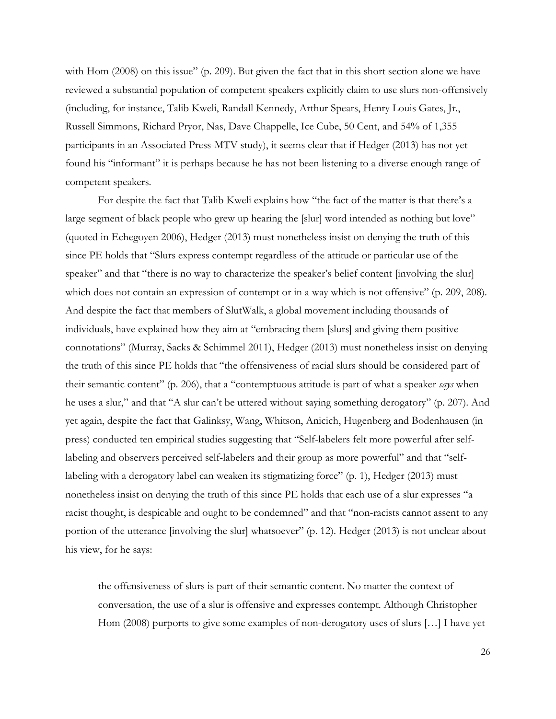with Hom (2008) on this issue" (p. 209). But given the fact that in this short section alone we have reviewed a substantial population of competent speakers explicitly claim to use slurs non-offensively (including, for instance, Talib Kweli, Randall Kennedy, Arthur Spears, Henry Louis Gates, Jr., Russell Simmons, Richard Pryor, Nas, Dave Chappelle, Ice Cube, 50 Cent, and 54% of 1,355 participants in an Associated Press-MTV study), it seems clear that if Hedger (2013) has not yet found his "informant" it is perhaps because he has not been listening to a diverse enough range of competent speakers.

For despite the fact that Talib Kweli explains how "the fact of the matter is that there's a large segment of black people who grew up hearing the [slur] word intended as nothing but love" (quoted in Echegoyen 2006), Hedger (2013) must nonetheless insist on denying the truth of this since PE holds that "Slurs express contempt regardless of the attitude or particular use of the speaker" and that "there is no way to characterize the speaker's belief content [involving the slur] which does not contain an expression of contempt or in a way which is not offensive" (p. 209, 208). And despite the fact that members of SlutWalk, a global movement including thousands of individuals, have explained how they aim at "embracing them [slurs] and giving them positive connotations" (Murray, Sacks & Schimmel 2011), Hedger (2013) must nonetheless insist on denying the truth of this since PE holds that "the offensiveness of racial slurs should be considered part of their semantic content" (p. 206), that a "contemptuous attitude is part of what a speaker *says* when he uses a slur," and that "A slur can't be uttered without saying something derogatory" (p. 207). And yet again, despite the fact that Galinksy, Wang, Whitson, Anicich, Hugenberg and Bodenhausen (in press) conducted ten empirical studies suggesting that "Self-labelers felt more powerful after selflabeling and observers perceived self-labelers and their group as more powerful" and that "selflabeling with a derogatory label can weaken its stigmatizing force" (p. 1), Hedger (2013) must nonetheless insist on denying the truth of this since PE holds that each use of a slur expresses "a racist thought, is despicable and ought to be condemned" and that "non-racists cannot assent to any portion of the utterance [involving the slur] whatsoever" (p. 12). Hedger (2013) is not unclear about his view, for he says:

the offensiveness of slurs is part of their semantic content. No matter the context of conversation, the use of a slur is offensive and expresses contempt. Although Christopher Hom (2008) purports to give some examples of non-derogatory uses of slurs […] I have yet

26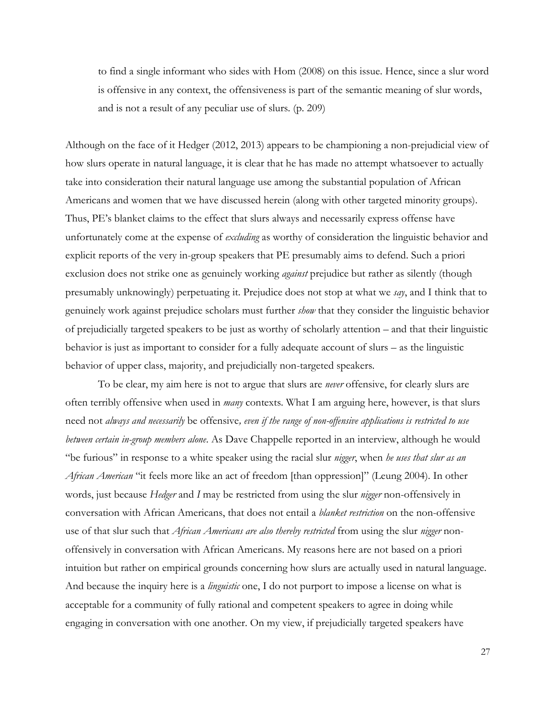to find a single informant who sides with Hom (2008) on this issue. Hence, since a slur word is offensive in any context, the offensiveness is part of the semantic meaning of slur words, and is not a result of any peculiar use of slurs. (p. 209)

Although on the face of it Hedger (2012, 2013) appears to be championing a non-prejudicial view of how slurs operate in natural language, it is clear that he has made no attempt whatsoever to actually take into consideration their natural language use among the substantial population of African Americans and women that we have discussed herein (along with other targeted minority groups). Thus, PE's blanket claims to the effect that slurs always and necessarily express offense have unfortunately come at the expense of *excluding* as worthy of consideration the linguistic behavior and explicit reports of the very in-group speakers that PE presumably aims to defend. Such a priori exclusion does not strike one as genuinely working *against* prejudice but rather as silently (though presumably unknowingly) perpetuating it. Prejudice does not stop at what we *say*, and I think that to genuinely work against prejudice scholars must further *show* that they consider the linguistic behavior of prejudicially targeted speakers to be just as worthy of scholarly attention – and that their linguistic behavior is just as important to consider for a fully adequate account of slurs – as the linguistic behavior of upper class, majority, and prejudicially non-targeted speakers.

To be clear, my aim here is not to argue that slurs are *never* offensive, for clearly slurs are often terribly offensive when used in *many* contexts. What I am arguing here, however, is that slurs need not *always and necessarily* be offensive*, even if the range of non-offensive applications is restricted to use between certain in-group members alone*. As Dave Chappelle reported in an interview, although he would "be furious" in response to a white speaker using the racial slur *nigger*, when *he uses that slur as an African American* "it feels more like an act of freedom [than oppression]" (Leung 2004). In other words, just because *Hedger* and *I* may be restricted from using the slur *nigger* non-offensively in conversation with African Americans, that does not entail a *blanket restriction* on the non-offensive use of that slur such that *African Americans are also thereby restricted* from using the slur *nigger* nonoffensively in conversation with African Americans. My reasons here are not based on a priori intuition but rather on empirical grounds concerning how slurs are actually used in natural language. And because the inquiry here is a *linguistic* one, I do not purport to impose a license on what is acceptable for a community of fully rational and competent speakers to agree in doing while engaging in conversation with one another. On my view, if prejudicially targeted speakers have

27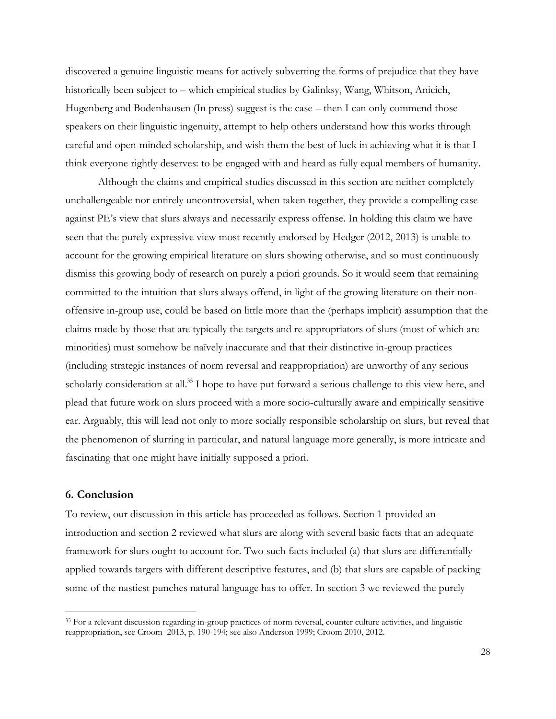discovered a genuine linguistic means for actively subverting the forms of prejudice that they have historically been subject to – which empirical studies by Galinksy, Wang, Whitson, Anicich, Hugenberg and Bodenhausen (In press) suggest is the case – then I can only commend those speakers on their linguistic ingenuity, attempt to help others understand how this works through careful and open-minded scholarship, and wish them the best of luck in achieving what it is that I think everyone rightly deserves: to be engaged with and heard as fully equal members of humanity.

Although the claims and empirical studies discussed in this section are neither completely unchallengeable nor entirely uncontroversial, when taken together, they provide a compelling case against PE's view that slurs always and necessarily express offense. In holding this claim we have seen that the purely expressive view most recently endorsed by Hedger (2012, 2013) is unable to account for the growing empirical literature on slurs showing otherwise, and so must continuously dismiss this growing body of research on purely a priori grounds. So it would seem that remaining committed to the intuition that slurs always offend, in light of the growing literature on their nonoffensive in-group use, could be based on little more than the (perhaps implicit) assumption that the claims made by those that are typically the targets and re-appropriators of slurs (most of which are minorities) must somehow be naïvely inaccurate and that their distinctive in-group practices (including strategic instances of norm reversal and reappropriation) are unworthy of any serious scholarly consideration at all.<sup>35</sup> I hope to have put forward a serious challenge to this view here, and plead that future work on slurs proceed with a more socio-culturally aware and empirically sensitive ear. Arguably, this will lead not only to more socially responsible scholarship on slurs, but reveal that the phenomenon of slurring in particular, and natural language more generally, is more intricate and fascinating that one might have initially supposed a priori.

## **6. Conclusion**

 $\overline{\phantom{a}}$ 

To review, our discussion in this article has proceeded as follows. Section 1 provided an introduction and section 2 reviewed what slurs are along with several basic facts that an adequate framework for slurs ought to account for. Two such facts included (a) that slurs are differentially applied towards targets with different descriptive features, and (b) that slurs are capable of packing some of the nastiest punches natural language has to offer. In section 3 we reviewed the purely

<sup>&</sup>lt;sup>35</sup> For a relevant discussion regarding in-group practices of norm reversal, counter culture activities, and linguistic reappropriation, see Croom 2013, p. 190-194; see also Anderson 1999; Croom 2010, 2012.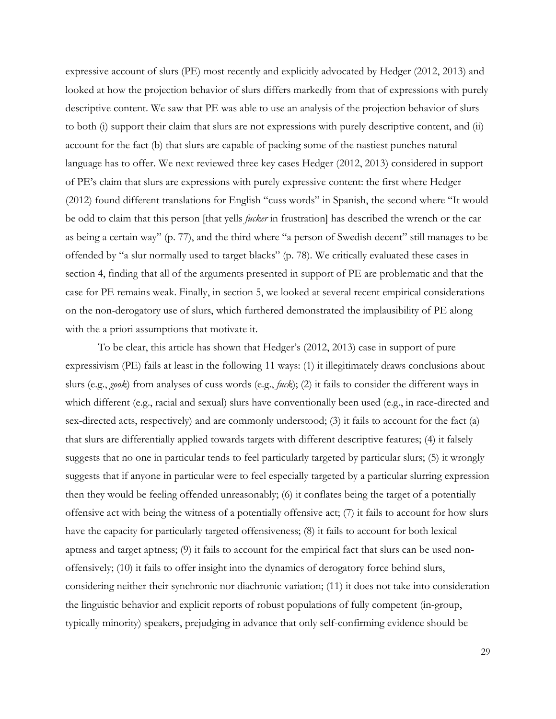expressive account of slurs (PE) most recently and explicitly advocated by Hedger (2012, 2013) and looked at how the projection behavior of slurs differs markedly from that of expressions with purely descriptive content. We saw that PE was able to use an analysis of the projection behavior of slurs to both (i) support their claim that slurs are not expressions with purely descriptive content, and (ii) account for the fact (b) that slurs are capable of packing some of the nastiest punches natural language has to offer. We next reviewed three key cases Hedger (2012, 2013) considered in support of PE's claim that slurs are expressions with purely expressive content: the first where Hedger (2012) found different translations for English "cuss words" in Spanish, the second where "It would be odd to claim that this person [that yells *fucker* in frustration] has described the wrench or the car as being a certain way" (p. 77), and the third where "a person of Swedish decent" still manages to be offended by "a slur normally used to target blacks" (p. 78). We critically evaluated these cases in section 4, finding that all of the arguments presented in support of PE are problematic and that the case for PE remains weak. Finally, in section 5, we looked at several recent empirical considerations on the non-derogatory use of slurs, which furthered demonstrated the implausibility of PE along with the a priori assumptions that motivate it.

To be clear, this article has shown that Hedger's (2012, 2013) case in support of pure expressivism (PE) fails at least in the following 11 ways: (1) it illegitimately draws conclusions about slurs (e.g., *gook*) from analyses of cuss words (e.g., *fuck*); (2) it fails to consider the different ways in which different (e.g., racial and sexual) slurs have conventionally been used (e.g., in race-directed and sex-directed acts, respectively) and are commonly understood; (3) it fails to account for the fact (a) that slurs are differentially applied towards targets with different descriptive features; (4) it falsely suggests that no one in particular tends to feel particularly targeted by particular slurs; (5) it wrongly suggests that if anyone in particular were to feel especially targeted by a particular slurring expression then they would be feeling offended unreasonably; (6) it conflates being the target of a potentially offensive act with being the witness of a potentially offensive act; (7) it fails to account for how slurs have the capacity for particularly targeted offensiveness; (8) it fails to account for both lexical aptness and target aptness; (9) it fails to account for the empirical fact that slurs can be used nonoffensively; (10) it fails to offer insight into the dynamics of derogatory force behind slurs, considering neither their synchronic nor diachronic variation; (11) it does not take into consideration the linguistic behavior and explicit reports of robust populations of fully competent (in-group, typically minority) speakers, prejudging in advance that only self-confirming evidence should be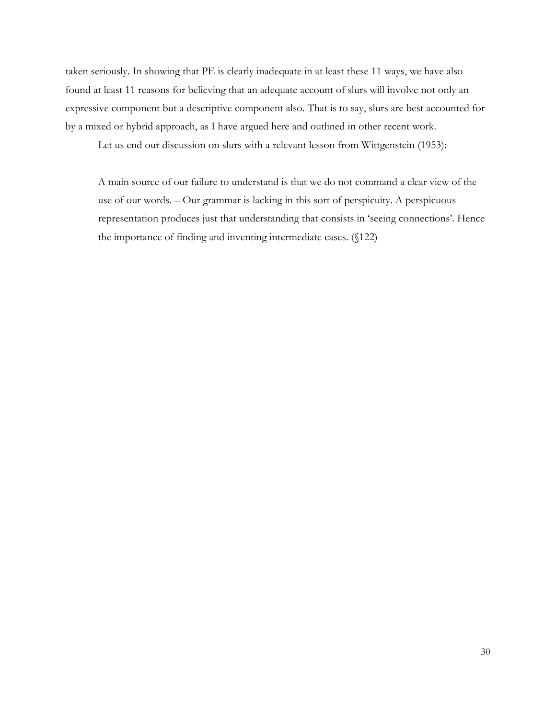taken seriously. In showing that PE is clearly inadequate in at least these 11 ways, we have also found at least 11 reasons for believing that an adequate account of slurs will involve not only an expressive component but a descriptive component also. That is to say, slurs are best accounted for by a mixed or hybrid approach, as I have argued here and outlined in other recent work.

Let us end our discussion on slurs with a relevant lesson from Wittgenstein (1953):

A main source of our failure to understand is that we do not command a clear view of the use of our words. – Our grammar is lacking in this sort of perspicuity. A perspicuous representation produces just that understanding that consists in 'seeing connections'. Hence the importance of finding and inventing intermediate cases. (§122)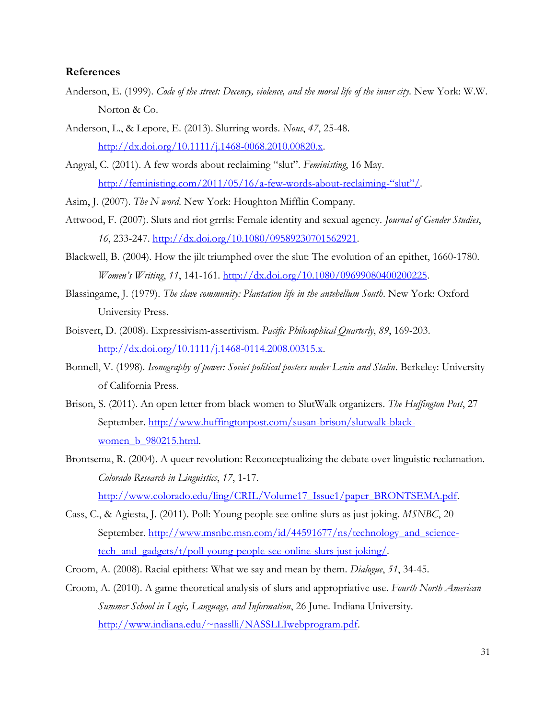# **References**

- Anderson, E. (1999). *Code of the street: Decency, violence, and the moral life of the inner city*. New York: W.W. Norton & Co.
- Anderson, L., & Lepore, E. (2013). Slurring words. *Nous*, *47*, 25-48. [http://dx.doi.org/10.1111/j.1468-0068.2010.00820.x.](http://dx.doi.org/10.1111/j.1468-0068.2010.00820.x)
- Angyal, C. (2011). A few words about reclaiming "slut". *Feministing*, 16 May. http://feministing.com/2011/05/16/a-few-words-about-reclaiming-"slut"/.
- Asim, J. (2007). *The N word*. New York: Houghton Mifflin Company.
- Attwood, F. (2007). Sluts and riot grrrls: Female identity and sexual agency. *Journal of Gender Studies*, *16*, 233-247. [http://dx.doi.org/10.1080/09589230701562921.](http://dx.doi.org/10.1080/09589230701562921)
- Blackwell, B. (2004). How the jilt triumphed over the slut: The evolution of an epithet, 1660-1780. *Women's Writing*, *11*, 141-161. [http://dx.doi.org/10.1080/09699080400200225.](http://dx.doi.org/10.1080/09699080400200225)
- Blassingame, J. (1979). *The slave community: Plantation life in the antebellum South*. New York: Oxford University Press.
- Boisvert, D. (2008). Expressivism-assertivism. *Pacific Philosophical Quarterly*, *89*, 169-203. [http://dx.doi.org/10.1111/j.1468-0114.2008.00315.x.](http://dx.doi.org/10.1111/j.1468-0114.2008.00315.x)
- Bonnell, V. (1998). *Iconography of power: Soviet political posters under Lenin and Stalin*. Berkeley: University of California Press.
- Brison, S. (2011). An open letter from black women to SlutWalk organizers. *The Huffington Post*, 27 September. [http://www.huffingtonpost.com/susan-brison/slutwalk-black](http://www.huffingtonpost.com/susan-brison/slutwalk-black-women_b_980215.html)[women\\_b\\_980215.html.](http://www.huffingtonpost.com/susan-brison/slutwalk-black-women_b_980215.html)
- Brontsema, R. (2004). A queer revolution: Reconceptualizing the debate over linguistic reclamation. *Colorado Research in Linguistics*, *17*, 1-17. [http://www.colorado.edu/ling/CRIL/Volume17\\_Issue1/paper\\_BRONTSEMA.pdf.](http://www.colorado.edu/ling/CRIL/Volume17_Issue1/paper_BRONTSEMA.pdf)
- Cass, C., & Agiesta, J. (2011). Poll: Young people see online slurs as just joking. *MSNBC*, 20 September. [http://www.msnbc.msn.com/id/44591677/ns/technology\\_and\\_science](http://www.msnbc.msn.com/id/44591677/ns/technology_and_science-tech_and_gadgets/t/poll-young-people-see-online-slurs-just-joking/)[tech\\_and\\_gadgets/t/poll-young-people-see-online-slurs-just-joking/.](http://www.msnbc.msn.com/id/44591677/ns/technology_and_science-tech_and_gadgets/t/poll-young-people-see-online-slurs-just-joking/)
- Croom, A. (2008). Racial epithets: What we say and mean by them. *Dialogue*, *51*, 34-45.
- Croom, A. (2010). A game theoretical analysis of slurs and appropriative use. *Fourth North American Summer School in Logic, Language, and Information*, 26 June. Indiana University. [http://www.indiana.edu/~nasslli/NASSLLIwebprogram.pdf.](http://www.indiana.edu/~nasslli/NASSLLIwebprogram.pdf)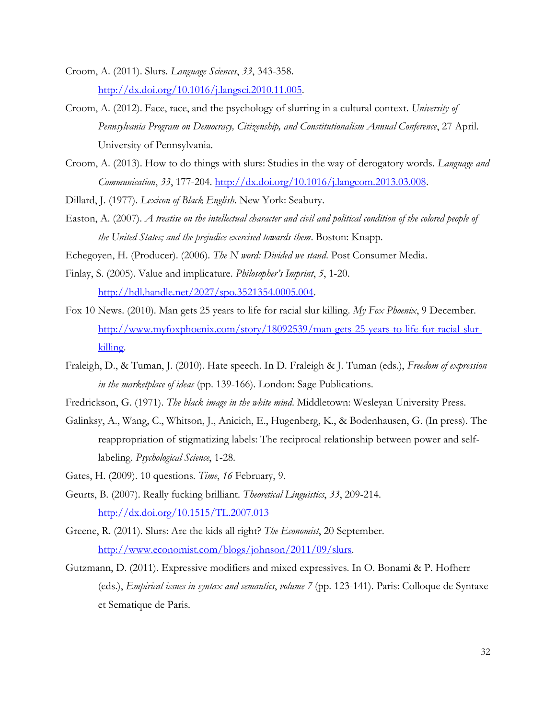- Croom, A. (2011). Slurs. *Language Sciences*, *33*, 343-358. [http://dx.doi.org/10.1016/j.langsci.2010.11.005.](http://dx.doi.org/10.1016/j.langsci.2010.11.005)
- Croom, A. (2012). Face, race, and the psychology of slurring in a cultural context. *University of Pennsylvania Program on Democracy, Citizenship, and Constitutionalism Annual Conference*, 27 April. University of Pennsylvania.
- Croom, A. (2013). How to do things with slurs: Studies in the way of derogatory words. *Language and Communication*, *33*, 177-204. [http://dx.doi.org/10.1016/j.langcom.2013.03.008.](http://dx.doi.org/10.1016/j.langcom.2013.03.008)
- Dillard, J. (1977). *Lexicon of Black English*. New York: Seabury.
- Easton, A. (2007). *A treatise on the intellectual character and civil and political condition of the colored people of the United States; and the prejudice exercised towards them*. Boston: Knapp.

Echegoyen, H. (Producer). (2006). *The N word: Divided we stand*. Post Consumer Media.

- Finlay, S. (2005). Value and implicature. *Philosopher's Imprint*, *5*, 1-20. [http://hdl.handle.net/2027/spo.3521354.0005.004.](http://hdl.handle.net/2027/spo.3521354.0005.004)
- Fox 10 News. (2010). Man gets 25 years to life for racial slur killing. *My Fox Phoenix*, 9 December. [http://www.myfoxphoenix.com/story/18092539/man-gets-25-years-to-life-for-racial-slur](http://www.myfoxphoenix.com/story/18092539/man-gets-25-years-to-life-for-racial-slur-killing)[killing.](http://www.myfoxphoenix.com/story/18092539/man-gets-25-years-to-life-for-racial-slur-killing)
- Fraleigh, D., & Tuman, J. (2010). Hate speech. In D. Fraleigh & J. Tuman (eds.), *Freedom of expression in the marketplace of ideas* (pp. 139-166). London: Sage Publications.
- Fredrickson, G. (1971). *The black image in the white mind*. Middletown: Wesleyan University Press.
- Galinksy, A., Wang, C., Whitson, J., Anicich, E., Hugenberg, K., & Bodenhausen, G. (In press). The reappropriation of stigmatizing labels: The reciprocal relationship between power and selflabeling. *Psychological Science*, 1-28.
- Gates, H. (2009). 10 questions. *Time*, *16* February, 9.
- Geurts, B. (2007). Really fucking brilliant. *Theoretical Linguistics*, *33*, 209-214. <http://dx.doi.org/10.1515/TL.2007.013>
- Greene, R. (2011). Slurs: Are the kids all right? *The Economist*, 20 September. [http://www.economist.com/blogs/johnson/2011/09/slurs.](http://www.economist.com/blogs/johnson/2011/09/slurs)
- Gutzmann, D. (2011). Expressive modifiers and mixed expressives. In O. Bonami & P. Hofherr (eds.), *Empirical issues in syntax and semantics*, *volume 7* (pp. 123-141). Paris: Colloque de Syntaxe et Sematique de Paris.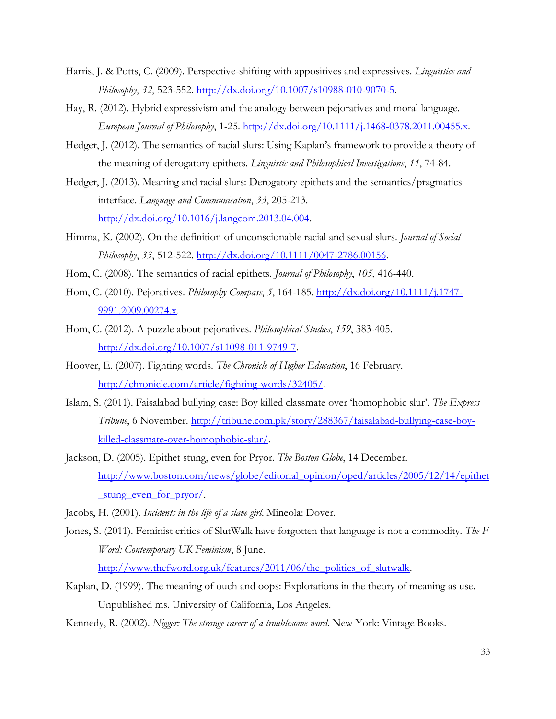- Harris, J. & Potts, C. (2009). Perspective-shifting with appositives and expressives. *Linguistics and Philosophy*, *32*, 523-552. [http://dx.doi.org/10.1007/s10988-010-9070-5.](http://dx.doi.org/10.1007/s10988-010-9070-5)
- Hay, R. (2012). Hybrid expressivism and the analogy between pejoratives and moral language. *European Journal of Philosophy*, 1-25. [http://dx.doi.org/10.1111/j.1468-0378.2011.00455.x.](http://dx.doi.org/10.1111/j.1468-0378.2011.00455.x)
- Hedger, J. (2012). The semantics of racial slurs: Using Kaplan's framework to provide a theory of the meaning of derogatory epithets. *Linguistic and Philosophical Investigations*, *11*, 74-84.
- Hedger, J. (2013). Meaning and racial slurs: Derogatory epithets and the semantics/pragmatics interface. *Language and Communication*, *33*, 205-213. [http://dx.doi.org/10.1016/j.langcom.2013.04.004.](http://dx.doi.org/10.1016/j.langcom.2013.04.004)
- Himma, K. (2002). On the definition of unconscionable racial and sexual slurs. *Journal of Social Philosophy*, *33*, 512-522. [http://dx.doi.org/10.1111/0047-2786.00156.](http://dx.doi.org/10.1111/0047-2786.00156)
- Hom, C. (2008). The semantics of racial epithets. *Journal of Philosophy*, *105*, 416-440.
- Hom, C. (2010). Pejoratives. *Philosophy Compass*, *5*, 164-185. [http://dx.doi.org/10.1111/j.1747-](http://dx.doi.org/10.1111/j.1747-9991.2009.00274.x) [9991.2009.00274.x.](http://dx.doi.org/10.1111/j.1747-9991.2009.00274.x)
- Hom, C. (2012). A puzzle about pejoratives. *Philosophical Studies*, *159*, 383-405. [http://dx.doi.org/10.1007/s11098-011-9749-7.](http://dx.doi.org/10.1007/s11098-011-9749-7)
- Hoover, E. (2007). Fighting words. *The Chronicle of Higher Education*, 16 February. [http://chronicle.com/article/fighting-words/32405/.](http://chronicle.com/article/fighting-words/32405/)
- Islam, S. (2011). Faisalabad bullying case: Boy killed classmate over 'homophobic slur'. *The Express Tribune*, 6 November. [http://tribune.com.pk/story/288367/faisalabad-bullying-case-boy](http://tribune.com.pk/story/288367/faisalabad-bullying-case-boy-killed-classmate-over-homophobic-slur/)[killed-classmate-over-homophobic-slur/.](http://tribune.com.pk/story/288367/faisalabad-bullying-case-boy-killed-classmate-over-homophobic-slur/)
- Jackson, D. (2005). Epithet stung, even for Pryor. *The Boston Globe*, 14 December. [http://www.boston.com/news/globe/editorial\\_opinion/oped/articles/2005/12/14/epithet](http://www.boston.com/news/globe/editorial_opinion/oped/articles/2005/12/14/epithet_stung_even_for_pryor/) [\\_stung\\_even\\_for\\_pryor/.](http://www.boston.com/news/globe/editorial_opinion/oped/articles/2005/12/14/epithet_stung_even_for_pryor/)
- Jacobs, H. (2001). *Incidents in the life of a slave girl*. Mineola: Dover.
- Jones, S. (2011). Feminist critics of SlutWalk have forgotten that language is not a commodity. *The F Word: Contemporary UK Feminism*, 8 June. [http://www.thefword.org.uk/features/2011/06/the\\_politics\\_of\\_slutwalk.](http://www.thefword.org.uk/features/2011/06/the_politics_of_slutwalk)
- Kaplan, D. (1999). The meaning of ouch and oops: Explorations in the theory of meaning as use. Unpublished ms. University of California, Los Angeles.
- Kennedy, R. (2002). *Nigger: The strange career of a troublesome word*. New York: Vintage Books.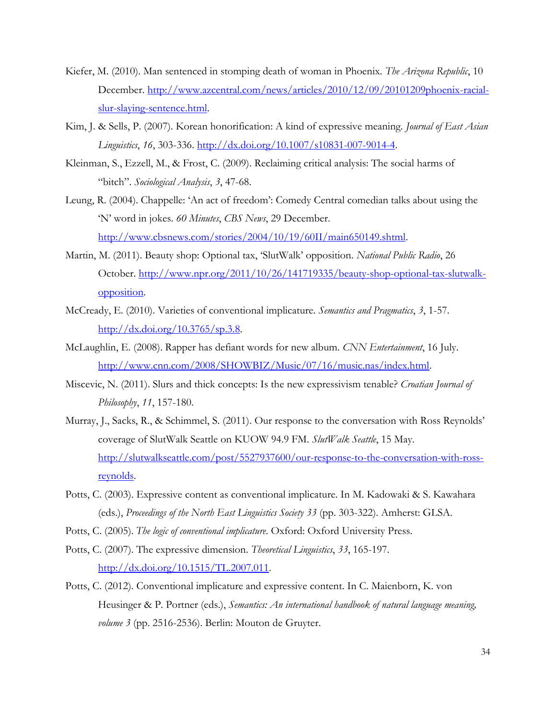- Kiefer, M. (2010). Man sentenced in stomping death of woman in Phoenix. *The Arizona Republic*, 10 December. [http://www.azcentral.com/news/articles/2010/12/09/20101209phoenix-racial](http://www.azcentral.com/news/articles/2010/12/09/20101209phoenix-racial-slur-slaying-sentence.html)[slur-slaying-sentence.html.](http://www.azcentral.com/news/articles/2010/12/09/20101209phoenix-racial-slur-slaying-sentence.html)
- Kim, J. & Sells, P. (2007). Korean honorification: A kind of expressive meaning. *Journal of East Asian Linguistics*, *16*, 303-336. [http://dx.doi.org/10.1007/s10831-007-9014-4.](http://dx.doi.org/10.1007/s10831-007-9014-4)
- Kleinman, S., Ezzell, M., & Frost, C. (2009). Reclaiming critical analysis: The social harms of "bitch". *Sociological Analysis*, *3*, 47-68.
- Leung, R. (2004). Chappelle: 'An act of freedom': Comedy Central comedian talks about using the 'N' word in jokes. *60 Minutes*, *CBS News*, 29 December. [http://www.cbsnews.com/stories/2004/10/19/60II/main650149.shtml.](http://www.cbsnews.com/stories/2004/10/19/60II/main650149.shtml)
- Martin, M. (2011). Beauty shop: Optional tax, 'SlutWalk' opposition. *National Public Radio*, 26 October. [http://www.npr.org/2011/10/26/141719335/beauty-shop-optional-tax-slutwalk](http://www.npr.org/2011/10/26/141719335/beauty-shop-optional-tax-slutwalk-opposition)[opposition.](http://www.npr.org/2011/10/26/141719335/beauty-shop-optional-tax-slutwalk-opposition)
- McCready, E. (2010). Varieties of conventional implicature. *Semantics and Pragmatics*, *3*, 1-57. [http://dx.doi.org/10.3765/sp.3.8.](http://dx.doi.org/10.3765/sp.3.8)
- McLaughlin, E. (2008). Rapper has defiant words for new album. *CNN Entertainment*, 16 July. [http://www.cnn.com/2008/SHOWBIZ/Music/07/16/music.nas/index.html.](http://www.cnn.com/2008/SHOWBIZ/Music/07/16/music.nas/index.html)
- Miscevic, N. (2011). Slurs and thick concepts: Is the new expressivism tenable? *Croatian Journal of Philosophy*, *11*, 157-180.
- Murray, J., Sacks, R., & Schimmel, S. (2011). Our response to the conversation with Ross Reynolds' coverage of SlutWalk Seattle on KUOW 94.9 FM. *SlutWalk Seattle*, 15 May. [http://slutwalkseattle.com/post/5527937600/our-response-to-the-conversation-with-ross](http://slutwalkseattle.com/post/5527937600/our-response-to-the-conversation-with-ross-reynolds)[reynolds.](http://slutwalkseattle.com/post/5527937600/our-response-to-the-conversation-with-ross-reynolds)
- Potts, C. (2003). Expressive content as conventional implicature. In M. Kadowaki & S. Kawahara (eds.), *Proceedings of the North East Linguistics Society 33* (pp. 303-322). Amherst: GLSA.
- Potts, C. (2005). *The logic of conventional implicature*. Oxford: Oxford University Press.
- Potts, C. (2007). The expressive dimension. *Theoretical Linguistics*, *33*, 165-197. [http://dx.doi.org/10.1515/TL.2007.011.](http://dx.doi.org/10.1515/TL.2007.011)
- Potts, C. (2012). Conventional implicature and expressive content. In C. Maienborn, K. von Heusinger & P. Portner (eds.), *Semantics: An international handbook of natural language meaning, volume 3* (pp. 2516-2536). Berlin: Mouton de Gruyter.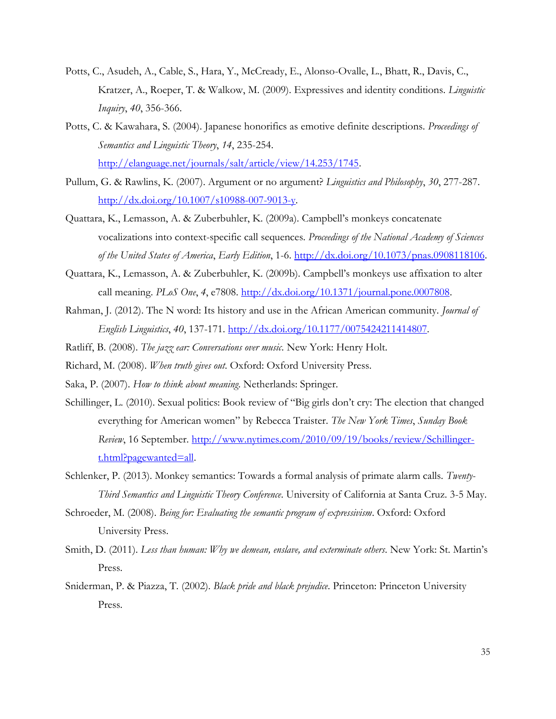- Potts, C., Asudeh, A., Cable, S., Hara, Y., McCready, E., Alonso-Ovalle, L., Bhatt, R., Davis, C., Kratzer, A., Roeper, T. & Walkow, M. (2009). Expressives and identity conditions. *Linguistic Inquiry*, *40*, 356-366.
- Potts, C. & Kawahara, S. (2004). Japanese honorifics as emotive definite descriptions. *Proceedings of Semantics and Linguistic Theory*, *14*, 235-254. [http://elanguage.net/journals/salt/article/view/14.253/1745.](http://elanguage.net/journals/salt/article/view/14.253/1745)
- Pullum, G. & Rawlins, K. (2007). Argument or no argument? *Linguistics and Philosophy*, *30*, 277-287. [http://dx.doi.org/10.1007/s10988-007-9013-y.](http://dx.doi.org/10.1007/s10988-007-9013-y)
- Quattara, K., Lemasson, A. & Zuberbuhler, K. (2009a). Campbell's monkeys concatenate vocalizations into context-specific call sequences. *Proceedings of the National Academy of Sciences of the United States of America*, *Early Edition*, 1-6. [http://dx.doi.org/10.1073/pnas.0908118106.](http://dx.doi.org/10.1073/pnas.0908118106)
- Quattara, K., Lemasson, A. & Zuberbuhler, K. (2009b). Campbell's monkeys use affixation to alter call meaning. *PLoS One*, *4*, e7808. [http://dx.doi.org/10.1371/journal.pone.0007808.](http://dx.doi.org/10.1371/journal.pone.0007808)
- Rahman, J. (2012). The N word: Its history and use in the African American community. *Journal of English Linguistics*, *40*, 137-171. [http://dx.doi.org/10.1177/0075424211414807.](http://dx.doi.org/10.1177/0075424211414807)
- Ratliff, B. (2008). *The jazz ear: Conversations over music*. New York: Henry Holt.
- Richard, M. (2008). *When truth gives out*. Oxford: Oxford University Press.
- Saka, P. (2007). *How to think about meaning*. Netherlands: Springer.
- Schillinger, L. (2010). Sexual politics: Book review of "Big girls don't cry: The election that changed everything for American women" by Rebecca Traister. *The New York Times*, *Sunday Book Review*, 16 September. [http://www.nytimes.com/2010/09/19/books/review/Schillinger](http://www.nytimes.com/2010/09/19/books/review/Schillinger-t.html?pagewanted=all)[t.html?pagewanted=all.](http://www.nytimes.com/2010/09/19/books/review/Schillinger-t.html?pagewanted=all)
- Schlenker, P. (2013). Monkey semantics: Towards a formal analysis of primate alarm calls. *Twenty-Third Semantics and Linguistic Theory Conference*. University of California at Santa Cruz. 3-5 May.
- Schroeder, M. (2008). *Being for: Evaluating the semantic program of expressivism*. Oxford: Oxford University Press.
- Smith, D. (2011). *Less than human: Why we demean, enslave, and exterminate others*. New York: St. Martin's Press.
- Sniderman, P. & Piazza, T. (2002). *Black pride and black prejudice*. Princeton: Princeton University Press.